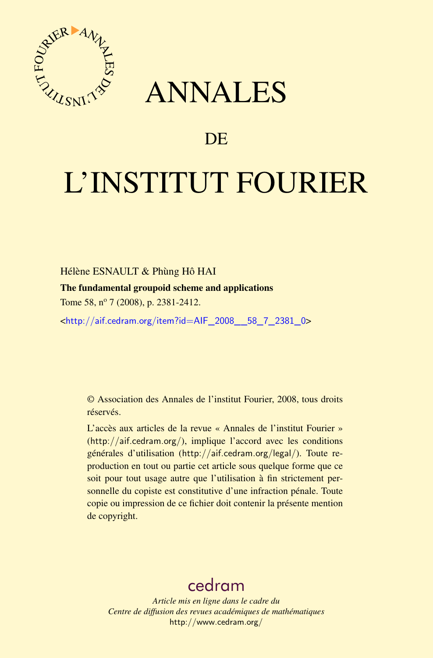

## ANNALES

## **DE**

# L'INSTITUT FOURIER

#### Hélène ESNAULT & Phùng Hô HAI

#### The fundamental groupoid scheme and applications

Tome 58, nº 7 (2008), p. 2381-2412.

<[http://aif.cedram.org/item?id=AIF\\_2008\\_\\_58\\_7\\_2381\\_0](http://aif.cedram.org/item?id=AIF_2008__58_7_2381_0)>

© Association des Annales de l'institut Fourier, 2008, tous droits réservés.

L'accès aux articles de la revue « Annales de l'institut Fourier » (<http://aif.cedram.org/>), implique l'accord avec les conditions générales d'utilisation (<http://aif.cedram.org/legal/>). Toute reproduction en tout ou partie cet article sous quelque forme que ce soit pour tout usage autre que l'utilisation à fin strictement personnelle du copiste est constitutive d'une infraction pénale. Toute copie ou impression de ce fichier doit contenir la présente mention de copyright.

## [cedram](http://www.cedram.org/)

*Article mis en ligne dans le cadre du Centre de diffusion des revues académiques de mathématiques* <http://www.cedram.org/>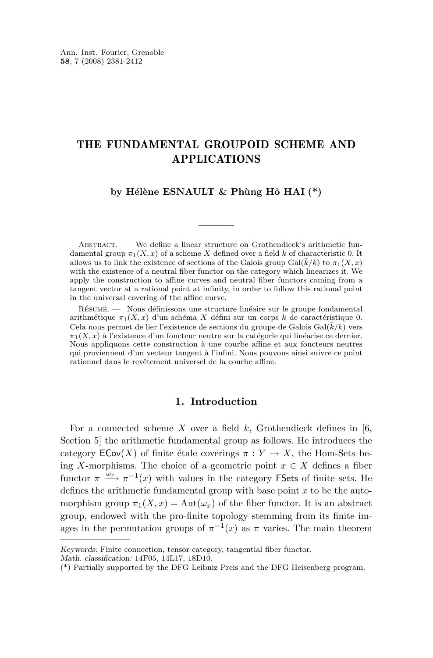#### THE FUNDAMENTAL GROUPOID SCHEME AND APPLICATIONS

#### **by Hélène ESNAULT & Phùng Hô HAI (\*)**

ABSTRACT. — We define a linear structure on Grothendieck's arithmetic fundamental group  $\pi_1(X, x)$  of a scheme X defined over a field k of characteristic 0. It allows us to link the existence of sections of the Galois group  $Gal(\overline{k}/k)$  to  $\pi_1(X, x)$ with the existence of a neutral fiber functor on the category which linearizes it. We apply the construction to affine curves and neutral fiber functors coming from a tangent vector at a rational point at infinity, in order to follow this rational point in the universal covering of the affine curve.

Résumé. — Nous définissons une structure linéaire sur le groupe fondamental arithmétique  $\pi_1(X, x)$  d'un schéma X défini sur un corps k de caractéristique 0. Cela nous permet de lier l'existence de sections du groupe de Galois  $Gal(\overline{k}/k)$  vers  $\pi_1(X, x)$  à l'existence d'un foncteur neutre sur la catégorie qui linéarise ce dernier. Nous appliquons cette construction à une courbe affine et aux foncteurs neutres qui proviennent d'un vecteur tangent à l'infini. Nous pouvons ainsi suivre ce point rationnel dans le revêtement universel de la courbe affine.

#### **1. Introduction**

For a connected scheme X over a field  $k$ , Grothendieck defines in [\[6,](#page-32-0) Section 5] the arithmetic fundamental group as follows. He introduces the category  $\mathsf{ECov}(X)$  of finite étale coverings  $\pi: Y \to X$ , the Hom-Sets being X-morphisms. The choice of a geometric point  $x \in X$  defines a fiber functor  $\pi \xrightarrow{\omega_x} \pi^{-1}(x)$  with values in the category FSets of finite sets. He defines the arithmetic fundamental group with base point  $x$  to be the automorphism group  $\pi_1(X, x) = \text{Aut}(\omega_x)$  of the fiber functor. It is an abstract group, endowed with the pro-finite topology stemming from its finite images in the permutation groups of  $\pi^{-1}(x)$  as  $\pi$  varies. The main theorem

*Keywords:* Finite connection, tensor category, tangential fiber functor.

*Math. classification:* 14F05, 14L17, 18D10.

<sup>(\*)</sup> Partially supported by the DFG Leibniz Preis and the DFG Heisenberg program.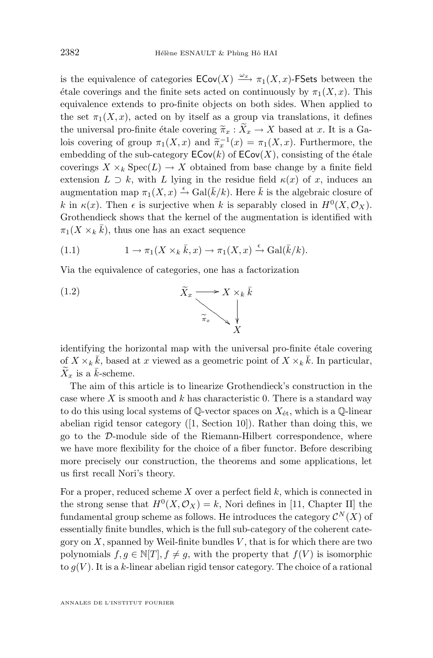<span id="page-2-0"></span>is the equivalence of categories  $\mathsf{ECov}(X) \xrightarrow{\omega_x} \pi_1(X,x)$ -FSets between the étale coverings and the finite sets acted on continuously by  $\pi_1(X, x)$ . This equivalence extends to pro-finite objects on both sides. When applied to the set  $\pi_1(X, x)$ , acted on by itself as a group via translations, it defines the universal pro-finite étale covering  $\widetilde{\pi}_x : \widetilde{X}_x \to X$  based at x. It is a Galois covering of group  $\pi_1(X, x)$  and  $\widetilde{\pi}_x^{-1}(x) = \pi_1(X, x)$ . Furthermore, the embedding of the sub-extensive  $\mathsf{ECov}(X)$  consisting of the étale embedding of the sub-category  $\mathsf{ECov}(k)$  of  $\mathsf{ECov}(X)$ , consisting of the étale coverings  $X \times_k \text{Spec}(L) \to X$  obtained from base change by a finite field extension  $L \supset k$ , with L lying in the residue field  $\kappa(x)$  of x, induces an augmentation map  $\pi_1(X, x) \stackrel{\epsilon}{\rightarrow} \text{Gal}(\bar{k}/k)$ . Here  $\bar{k}$  is the algebraic closure of k in  $\kappa(x)$ . Then  $\epsilon$  is surjective when k is separably closed in  $H^0(X, \mathcal{O}_X)$ . Grothendieck shows that the kernel of the augmentation is identified with  $\pi_1(X \times_k \bar{k})$ , thus one has an exact sequence

(1.1) 
$$
1 \to \pi_1(X \times_k \bar{k}, x) \to \pi_1(X, x) \xrightarrow{\epsilon} \text{Gal}(\bar{k}/k).
$$

Via the equivalence of categories, one has a factorization



identifying the horizontal map with the universal pro-finite étale covering of  $X \times_k \bar{k}$ , based at x viewed as a geometric point of  $X \times_k \bar{k}$ . In particular,  $X<sub>x</sub>$  is a  $\bar{k}$ -scheme.

The aim of this article is to linearize Grothendieck's construction in the case where  $X$  is smooth and  $k$  has characteristic 0. There is a standard way to do this using local systems of  $\mathbb{Q}\text{-vector spaces on }X_{\text{\'et}},$  which is a  $\mathbb{Q}\text{-linear}$ abelian rigid tensor category  $([1, Section 10])$  $([1, Section 10])$  $([1, Section 10])$ . Rather than doing this, we go to the D-module side of the Riemann-Hilbert correspondence, where we have more flexibility for the choice of a fiber functor. Before describing more precisely our construction, the theorems and some applications, let us first recall Nori's theory.

For a proper, reduced scheme  $X$  over a perfect field  $k$ , which is connected in the strong sense that  $H^0(X, \mathcal{O}_X) = k$ , Nori defines in [\[11,](#page-32-0) Chapter II] the fundamental group scheme as follows. He introduces the category  $\mathcal{C}^N(X)$  of essentially finite bundles, which is the full sub-category of the coherent category on  $X$ , spanned by Weil-finite bundles  $V$ , that is for which there are two polynomials  $f, g \in \mathbb{N}[T], f \neq g$ , with the property that  $f(V)$  is isomorphic to  $g(V)$ . It is a k-linear abelian rigid tensor category. The choice of a rational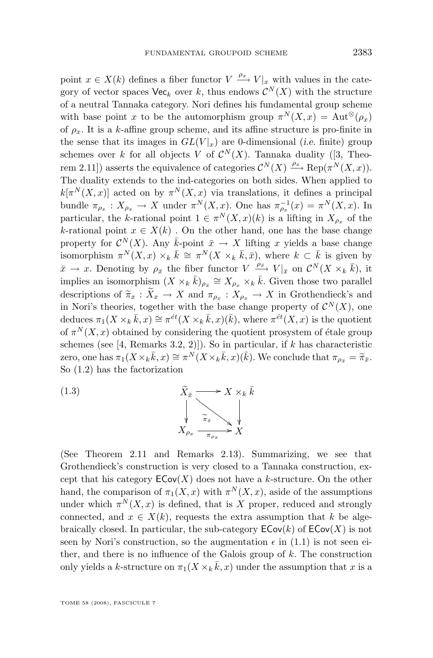<span id="page-3-0"></span>point  $x \in X(k)$  defines a fiber functor  $V \xrightarrow{\rho_x} V|x$  with values in the category of vector spaces  $\mathsf{Vec}_k$  over k, thus endows  $\mathcal{C}^N(X)$  with the structure of a neutral Tannaka category. Nori defines his fundamental group scheme with base point x to be the automorphism group  $\pi^N(X,x) = \text{Aut}^{\otimes}(\rho_x)$ of  $\rho_x$ . It is a k-affine group scheme, and its affine structure is pro-finite in the sense that its images in  $GL(V|_x)$  are 0-dimensional (*i.e.* finite) group schemes over k for all objects V of  $\mathcal{C}^N(X)$ . Tannaka duality ([\[3,](#page-32-0) Theorem 2.11]) asserts the equivalence of categories  $\mathcal{C}^N(X) \xrightarrow{\rho_x} \text{Rep}(\pi^N(X,x)).$ The duality extends to the ind-categories on both sides. When applied to  $k[\pi^N(X,x)]$  acted on by  $\pi^N(X,x)$  via translations, it defines a principal bundle  $\pi_{\rho_x}: X_{\rho_x} \to X$  under  $\pi^N(X, x)$ . One has  $\pi_{\rho_x}^{-1}(x) = \pi^N(X, x)$ . In particular, the k-rational point  $1 \in \pi^N(X,x)(k)$  is a lifting in  $X_{\rho_x}$  of the k-rational point  $x \in X(k)$ . On the other hand, one has the base change property for  $\mathcal{C}^N(X)$ . Any  $\bar{k}$ -point  $\bar{x} \to X$  lifting x yields a base change isomorphism  $\pi^N(X,x) \times_k \bar{k} \cong \pi^N(X \times_k \bar{k}, \bar{x})$ , where  $k \subset \bar{k}$  is given by  $\bar{x} \to x$ . Denoting by  $\rho_{\bar{x}}$  the fiber functor  $V \xrightarrow{\rho_{\bar{x}}} V|_{\bar{x}}$  on  $\mathcal{C}^N(X \times_k \bar{k})$ , it implies an isomorphism  $(X \times_k \bar{k})_{\rho_{\bar{x}}} \cong X_{\rho_x} \times_k \bar{k}$ . Given those two parallel descriptions of  $\widetilde{\pi}_x : X_x \to X$  and  $\pi_{\rho_x} : X_{\rho_x} \to X$  in Grothendieck's and<br>in Novi's theories, together with the base shapes property of  $\mathcal{CN}(X)$  and in Nori's theories, together with the base change property of  $\mathcal{C}^N(X)$ , one deduces  $\pi_1(X \times_k \bar{k}, x) \cong \pi^{\acute{e}t}(X \times_k \bar{k}, x)(\bar{k}),$  where  $\pi^{\acute{e}t}(X, x)$  is the quotient of  $\pi^N(X, x)$  obtained by considering the quotient prosystem of étale group schemes (see [\[4,](#page-32-0) Remarks 3.2, 2)]). So in particular, if  $k$  has characteristic zero, one has  $\pi_1(X \times_k \bar{k}, x) \cong \pi^N(X \times_k \bar{k}, x)(\bar{k})$ . We conclude that  $\pi_{\rho_x} = \tilde{\pi}_{\bar{x}}$ .<br>So (1.2) has the factorization So [\(1.2\)](#page-2-0) has the factorization

(1.3) 
$$
\widetilde{X}_{\bar{x}} \longrightarrow X \times_{k} \bar{k}
$$

$$
\downarrow \qquad \qquad \widetilde{\pi}_{\bar{x}} \longrightarrow X \times_{k} \bar{k}
$$

$$
X_{\rho_{x}} \longrightarrow \widetilde{\pi}_{\rho_{x}} \longrightarrow X
$$

(See Theorem [2.11](#page-17-0) and Remarks [2.13\)](#page-19-0). Summarizing, we see that Grothendieck's construction is very closed to a Tannaka construction, except that his category  $\mathsf{ECov}(X)$  does not have a k-structure. On the other hand, the comparison of  $\pi_1(X, x)$  with  $\pi^N(X, x)$ , aside of the assumptions under which  $\pi^N(X, x)$  is defined, that is X proper, reduced and strongly connected, and  $x \in X(k)$ , requests the extra assumption that k be algebraically closed. In particular, the sub-category  $\mathsf{ECov}(k)$  of  $\mathsf{ECov}(X)$  is not seen by Nori's construction, so the augmentation  $\epsilon$  in [\(1.1\)](#page-2-0) is not seen either, and there is no influence of the Galois group of  $k$ . The construction only yields a k-structure on  $\pi_1(X \times_k \overline{k}, x)$  under the assumption that x is a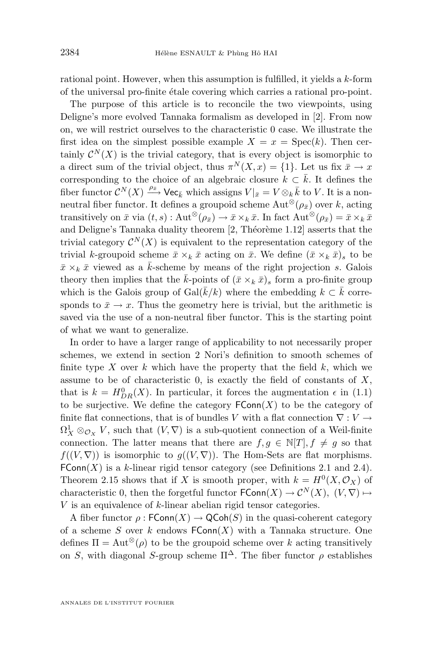rational point. However, when this assumption is fulfilled, it yields a k-form of the universal pro-finite étale covering which carries a rational pro-point.

The purpose of this article is to reconcile the two viewpoints, using Deligne's more evolved Tannaka formalism as developed in [\[2\]](#page-32-0). From now on, we will restrict ourselves to the characteristic 0 case. We illustrate the first idea on the simplest possible example  $X = x = \text{Spec}(k)$ . Then certainly  $\mathcal{C}^N(X)$  is the trivial category, that is every object is isomorphic to a direct sum of the trivial object, thus  $\pi^N(X, x) = \{1\}$ . Let us fix  $\bar{x} \to x$ corresponding to the choice of an algebraic closure  $k \subset \overline{k}$ . It defines the fiber functor  $\mathcal{C}^N(X) \xrightarrow{\rho_{\bar{x}}} \mathsf{Vec}_{\bar{k}}$  which assigns  $V|_{\bar{x}} = V \otimes_k \bar{k}$  to V. It is a nonneutral fiber functor. It defines a groupoid scheme  $\text{Aut}^{\otimes}(\rho_{\bar{x}})$  over k, acting transitively on  $\bar{x}$  via  $(t, s)$ : Aut<sup>⊗</sup> $(\rho_{\bar{x}}) \rightarrow \bar{x} \times_k \bar{x}$ . In fact Aut<sup>⊗</sup> $(\rho_{\bar{x}}) = \bar{x} \times_k \bar{x}$ and Deligne's Tannaka duality theorem [\[2,](#page-32-0) Théorème 1.12] asserts that the trivial category  $\mathcal{C}^N(X)$  is equivalent to the representation category of the trivial k-groupoid scheme  $\bar{x} \times_k \bar{x}$  acting on  $\bar{x}$ . We define  $(\bar{x} \times_k \bar{x})_s$  to be  $\bar{x} \times_k \bar{x}$  viewed as a  $\bar{k}$ -scheme by means of the right projection s. Galois theory then implies that the  $\bar{k}$ -points of  $(\bar{x} \times_k \bar{x})_s$  form a pro-finite group which is the Galois group of Gal $(\overline{k}/k)$  where the embedding  $k \subset \overline{k}$  corresponds to  $\bar{x} \to x$ . Thus the geometry here is trivial, but the arithmetic is saved via the use of a non-neutral fiber functor. This is the starting point of what we want to generalize.

In order to have a larger range of applicability to not necessarily proper schemes, we extend in section 2 Nori's definition to smooth schemes of finite type X over  $k$  which have the property that the field  $k$ , which we assume to be of characteristic  $0$ , is exactly the field of constants of  $X$ , that is  $k = H_{DR}^{0}(X)$ . In particular, it forces the augmentation  $\epsilon$  in [\(1.1\)](#page-2-0) to be surjective. We define the category  $\mathsf{FConn}(X)$  to be the category of finite flat connections, that is of bundles V with a flat connection  $\nabla: V \rightarrow$  $\Omega^1_X \otimes_{\mathcal{O}_X} V$ , such that  $(V, \nabla)$  is a sub-quotient connection of a Weil-finite connection. The latter means that there are  $f, g \in \mathbb{N}[T], f \neq g$  so that  $f((V, \nabla))$  is isomorphic to  $g((V, \nabla))$ . The Hom-Sets are flat morphisms.  $FConn(X)$  is a k-linear rigid tensor category (see Definitions [2.1](#page-8-0) and [2.4\)](#page-9-0). Theorem [2.15](#page-20-0) shows that if X is smooth proper, with  $k = H^0(X, \mathcal{O}_X)$  of characteristic 0, then the forgetful functor  $\mathsf{FConn}(X) \to \mathcal{C}^N(X)$ ,  $(V, \nabla) \mapsto$ V is an equivalence of k-linear abelian rigid tensor categories.

A fiber functor  $\rho$ :  $\mathsf{FConn}(X) \to \mathsf{QCoh}(S)$  in the quasi-coherent category of a scheme S over k endows  $FConn(X)$  with a Tannaka structure. One defines  $\Pi = \text{Aut}^{\otimes}(\rho)$  to be the groupoid scheme over k acting transitively on S, with diagonal S-group scheme  $\Pi^{\Delta}$ . The fiber functor  $\rho$  establishes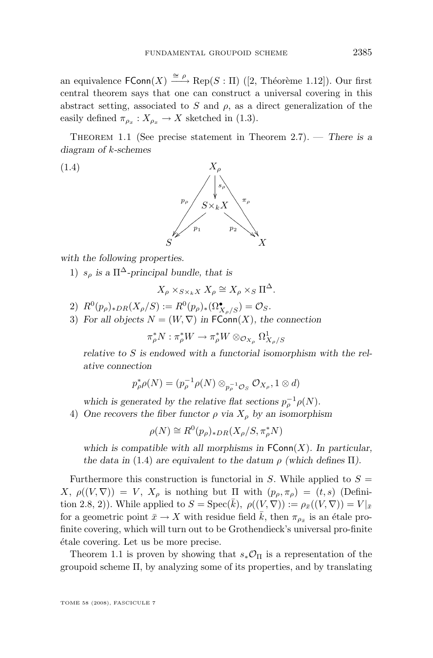<span id="page-5-0"></span>an equivalence  $\mathsf{FConn}(X) \xrightarrow{\cong \rho} \operatorname{Rep}(S : \Pi)$  ([\[2,](#page-32-0) Théorème 1.12]). Our first central theorem says that one can construct a universal covering in this abstract setting, associated to S and  $\rho$ , as a direct generalization of the easily defined  $\pi_{\rho_x}: X_{\rho_x} \to X$  sketched in [\(1.3\)](#page-3-0).

Theorem 1.1 (See precise statement in Theorem [2.7\)](#page-14-0). — *There is a diagram of* k*-schemes*

(1.4)



*with the following properties.*

1)  $s_o$  is a  $\Pi^{\Delta}$ -principal bundle, that is

$$
X_{\rho} \times_{S \times_k X} X_{\rho} \cong X_{\rho} \times_S \Pi^{\Delta}.
$$

- 2)  $R^0(p_\rho)_{*DR}(X_\rho/S) := R^0(p_\rho)_{*}(\Omega^{\bullet}_{X_\rho/S}) = \mathcal{O}_S.$
- 3) For all objects  $N = (W, \nabla)$  in  $\mathsf{FConn}(X)$ , the connection

$$
\pi_\rho^* N:\pi_\rho^* W \to \pi_\rho^* W \otimes_{\mathcal{O}_{X_\rho}} \Omega^1_{X_\rho/S}
$$

*relative to* S *is endowed with a functorial isomorphism with the relative connection*

$$
p_\rho^* \rho(N) = (p_\rho^{-1} \rho(N) \otimes_{p_\rho^{-1} \mathcal{O}_S} \mathcal{O}_{X_\rho}, 1 \otimes d)
$$

which is generated by the relative flat sections  $p_{\rho}^{-1}\rho(N)$ .

4) One recovers the fiber functor  $\rho$  *via*  $X_{\rho}$  *by an isomorphism* 

$$
\rho(N) \cong R^0(p_\rho)_{*DR}(X_\rho/S, \pi_\rho^*N)
$$

which is compatible with all morphisms in  $FConn(X)$ *. In particular, the data in* (1.4) *are equivalent to the datum*  $\rho$  *(which defines*  $\Pi$ *).* 

Furthermore this construction is functorial in S. While applied to  $S =$  $X, \rho((V, \nabla)) = V, X_{\rho}$  is nothing but  $\Pi$  with  $(p_{\rho}, \pi_{\rho}) = (t, s)$  (Defini-tion [2.8,](#page-16-0) 2)). While applied to  $S = \text{Spec}(\bar{k}), \ \rho((V, \nabla)) := \rho_{\bar{x}}((V, \nabla)) = V|_{\bar{x}}$ for a geometric point  $\bar{x} \to X$  with residue field  $\bar{k}$ , then  $\pi_{\rho_{\bar{x}}}$  is an étale profinite covering, which will turn out to be Grothendieck's universal pro-finite étale covering. Let us be more precise.

Theorem 1.1 is proven by showing that  $s_*\mathcal{O}_{\Pi}$  is a representation of the groupoid scheme Π, by analyzing some of its properties, and by translating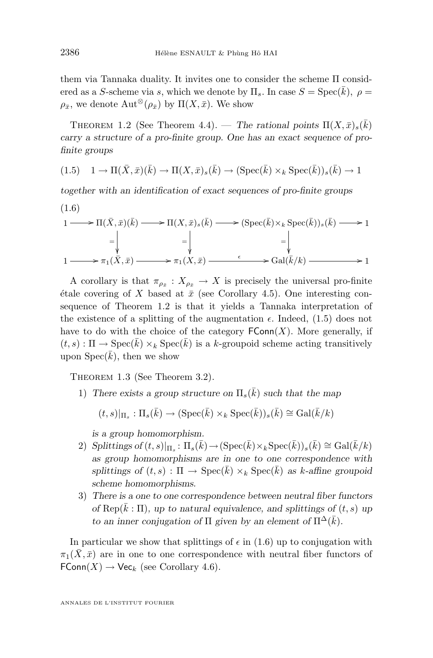them via Tannaka duality. It invites one to consider the scheme Π considered as a S-scheme via s, which we denote by  $\Pi_s$ . In case  $S = \text{Spec}(\bar{k})$ ,  $\rho =$  $\rho_{\bar{x}}$ , we denote  $\mathrm{Aut}^{\otimes}(\rho_{\bar{x}})$  by  $\Pi(X,\bar{x})$ . We show

THEOREM 1.2 (See Theorem [4.4\)](#page-27-0). — *The rational points*  $\Pi(X,\bar{x})_s(\bar{k})$ *carry a structure of a pro-finite group. One has an exact sequence of profinite groups*

(1.5) 
$$
1 \to \Pi(\bar{X}, \bar{x})(\bar{k}) \to \Pi(X, \bar{x})_s(\bar{k}) \to (\text{Spec}(\bar{k}) \times_k \text{Spec}(\bar{k}))_s(\bar{k}) \to 1
$$

*together with an identification of exact sequences of pro-finite groups*

$$
(1.6)
$$

$$
1 \longrightarrow \Pi(\bar{X}, \bar{x})(\bar{k}) \longrightarrow \Pi(X, \bar{x})_s(\bar{k}) \longrightarrow (\operatorname{Spec}(\bar{k}) \times_k \operatorname{Spec}(\bar{k}))_s(\bar{k}) \longrightarrow 1
$$
  
\n
$$
= \begin{vmatrix} \downarrow & \downarrow & \downarrow \\ \downarrow & & \downarrow & \downarrow \\ 1 \longrightarrow \pi_1(\bar{X}, \bar{x}) \longrightarrow \pi_1(X, \bar{x}) \longrightarrow \pi_1(X, \bar{x}) \longrightarrow \operatorname{Gal}(\bar{k}/k) \longrightarrow 1 \end{vmatrix}
$$

A corollary is that  $\pi_{\rho_{\bar{x}}}: X_{\rho_{\bar{x}}} \to X$  is precisely the universal pro-finite étale covering of X based at  $\bar{x}$  (see Corollary [4.5\)](#page-28-0). One interesting consequence of Theorem 1.2 is that it yields a Tannaka interpretation of the existence of a splitting of the augmentation  $\epsilon$ . Indeed, (1.5) does not have to do with the choice of the category  $\mathsf{FConn}(X)$ . More generally, if  $(t, s) : \Pi \to \text{Spec}(k) \times_k \text{Spec}(k)$  is a k-groupoid scheme acting transitively upon  $Spec(\bar{k})$ , then we show

Theorem 1.3 (See Theorem [3.2\)](#page-23-0).

1) There exists a group structure on  $\Pi_s(\bar{k})$  such that the map

$$
(t,s)|_{\Pi_s} : \Pi_s(\bar{k}) \to (\operatorname{Spec}(\bar{k}) \times_k \operatorname{Spec}(\bar{k}))_s(\bar{k}) \cong \operatorname{Gal}(\bar{k}/k)
$$

*is a group homomorphism.*

- 2) *Splittings* of  $(t, s)|_{\Pi_s} : \Pi_s(\overline{k}) \to (\text{Spec}(\overline{k}) \times_k \text{Spec}(\overline{k}))_s(\overline{k}) \cong \text{Gal}(\overline{k}/k)$ *as group homomorphisms are in one to one correspondence with splittings of*  $(t, s)$ :  $\Pi \rightarrow \text{Spec}(\overline{k}) \times_k \text{Spec}(\overline{k})$  *as* k-affine groupoid *scheme homomorphisms.*
- 3) *There is a one to one correspondence between neutral fiber functors of*  $\text{Rep}(\bar{k} : \Pi)$ *, up to natural equivalence, and splittings of*  $(t, s)$  *up to an inner conjugation of*  $\Pi$  *given by an element of*  $\Pi^{\Delta}(\bar{k})$ *.*

In particular we show that splittings of  $\epsilon$  in (1.6) up to conjugation with  $\pi_1(\bar{X}, \bar{x})$  are in one to one correspondence with neutral fiber functors of  $\mathsf{FConn}(X)\to\mathsf{Vec}_k$  (see Corollary [4.6\)](#page-28-0).

<span id="page-6-0"></span>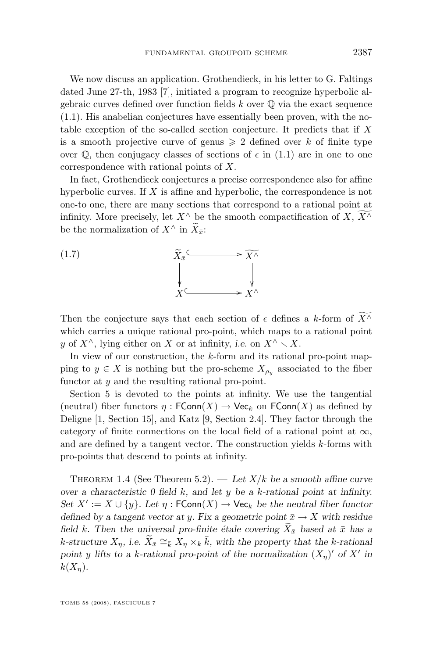<span id="page-7-0"></span>We now discuss an application. Grothendieck, in his letter to G. Faltings dated June 27-th, 1983 [\[7\]](#page-32-0), initiated a program to recognize hyperbolic algebraic curves defined over function fields  $k$  over  $\mathbb Q$  via the exact sequence [\(1.1\)](#page-2-0). His anabelian conjectures have essentially been proven, with the notable exception of the so-called section conjecture. It predicts that if X is a smooth projective curve of genus  $\geq 2$  defined over k of finite type over  $\mathbb{Q}$ , then conjugacy classes of sections of  $\epsilon$  in [\(1.1\)](#page-2-0) are in one to one correspondence with rational points of X.

In fact, Grothendieck conjectures a precise correspondence also for affine hyperbolic curves. If  $X$  is affine and hyperbolic, the correspondence is not one-to one, there are many sections that correspond to a rational point at infinity. More precisely, let  $X^{\wedge}$  be the smooth compactification of  $X, X^{\wedge}$ be the normalization of  $X^{\wedge}$  in  $\widetilde{X}_{\bar{x}}$ :



Then the conjecture says that each section of  $\epsilon$  defines a k-form of  $\widetilde{X}^{\wedge}$ which carries a unique rational pro-point, which maps to a rational point y of  $X^{\wedge}$ , lying either on X or at infinity, *i.e.* on  $X^{\wedge} \setminus X$ .

In view of our construction, the k-form and its rational pro-point mapping to  $y \in X$  is nothing but the pro-scheme  $X_{\rho_y}$  associated to the fiber functor at y and the resulting rational pro-point.

Section [5](#page-28-0) is devoted to the points at infinity. We use the tangential (neutral) fiber functors  $\eta : \mathsf{FConn}(X) \to \mathsf{Vec}_k$  on  $\mathsf{FConn}(X)$  as defined by Deligne [\[1,](#page-32-0) Section 15], and Katz [\[9,](#page-32-0) Section 2.4]. They factor through the category of finite connections on the local field of a rational point at  $\infty$ , and are defined by a tangent vector. The construction yields k-forms with pro-points that descend to points at infinity.

THEOREM 1.4 (See Theorem [5.2\)](#page-32-0). — Let  $X/k$  be a smooth affine curve *over a characteristic 0 field* k*, and let* y *be a* k*-rational point at infinity. Set*  $X' := X \cup \{y\}$ *. Let*  $\eta : \mathsf{FConn}(X) \to \mathsf{Vec}_k$  *be the neutral fiber functor defined by a tangent vector at y. Fix a geometric point*  $\bar{x} \rightarrow X$  *with residue field*  $\bar{k}$ *. Then the universal pro-finite étale covering*  $\widetilde{X}_{\bar{x}}$  *based at*  $\bar{x}$  *has a*  $k$ -structure  $X_{\eta}$ , i.e.  $\widetilde{X}_{\bar{x}} \cong_{\bar{k}} X_{\eta} \times_{k} \bar{k}$ , with the property that the k-rational point y lifts to a k-rational pro-point of the normalization  $(X_n)'$  of X' in  $k(X_n)$ .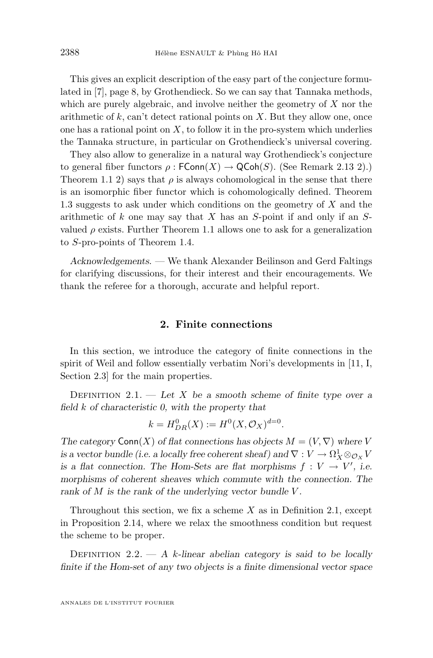<span id="page-8-0"></span>This gives an explicit description of the easy part of the conjecture formulated in [\[7\]](#page-32-0), page 8, by Grothendieck. So we can say that Tannaka methods, which are purely algebraic, and involve neither the geometry of  $X$  nor the arithmetic of  $k$ , can't detect rational points on  $X$ . But they allow one, once one has a rational point on  $X$ , to follow it in the pro-system which underlies the Tannaka structure, in particular on Grothendieck's universal covering.

They also allow to generalize in a natural way Grothendieck's conjecture to general fiber functors  $\rho$ : FConn $(X) \to \text{QCoh}(S)$ . (See Remark [2.13](#page-19-0) 2).) Theorem [1.1](#page-5-0) 2) says that  $\rho$  is always cohomological in the sense that there is an isomorphic fiber functor which is cohomologically defined. Theorem [1.3](#page-6-0) suggests to ask under which conditions on the geometry of  $X$  and the arithmetic of  $k$  one may say that  $X$  has an  $S$ -point if and only if an  $S$ valued  $\rho$  exists. Further Theorem [1.1](#page-5-0) allows one to ask for a generalization to S-pro-points of Theorem [1.4.](#page-7-0)

*Acknowledgements. —* We thank Alexander Beilinson and Gerd Faltings for clarifying discussions, for their interest and their encouragements. We thank the referee for a thorough, accurate and helpful report.

#### **2. Finite connections**

In this section, we introduce the category of finite connections in the spirit of Weil and follow essentially verbatim Nori's developments in [\[11,](#page-32-0) I, Section 2.3] for the main properties.

Definition 2.1. — *Let* X *be a smooth scheme of finite type over a field* k *of characteristic 0, with the property that*

$$
k = H_{DR}^0(X) := H^0(X, \mathcal{O}_X)^{d=0}.
$$

*The category*  $Conn(X)$  *of flat connections has objects*  $M = (V, \nabla)$  *where* V *is a vector bundle (i.e. a locally free coherent sheaf) and*  $\nabla : V \to \Omega_X^1 \otimes_{\mathcal{O}_X} V$ *is a flat connection. The Hom-Sets are flat morphisms*  $f: V \to V'$ , *i.e. morphisms of coherent sheaves which commute with the connection. The rank of* M *is the rank of the underlying vector bundle* V *.*

Throughout this section, we fix a scheme  $X$  as in Definition 2.1, except in Proposition [2.14,](#page-19-0) where we relax the smoothness condition but request the scheme to be proper.

DEFINITION  $2.2. - A$  *k*-linear abelian category is said to be locally *finite if the Hom-set of any two objects is a finite dimensional vector space*

ANNALES DE L'INSTITUT FOURIER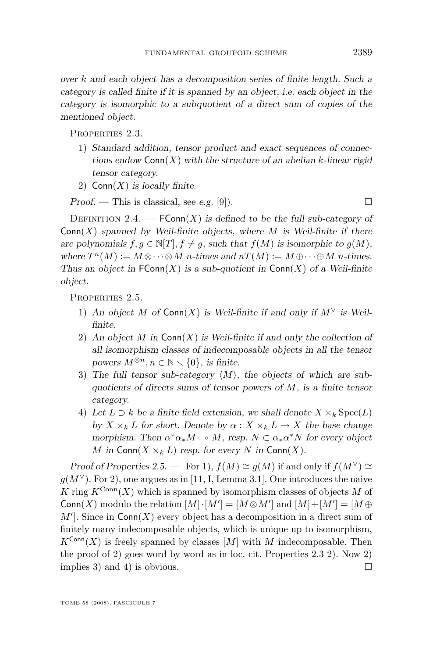<span id="page-9-0"></span>*over* k *and each object has a decomposition series of finite length. Such a category is called finite if it is spanned by an object, i.e. each object in the category is isomorphic to a subquotient of a direct sum of copies of the mentioned object.*

Properties 2.3.

- 1) *Standard addition, tensor product and exact sequences of connections endow* Conn(X) *with the structure of an abelian* k*-linear rigid tensor category.*
- 2) Conn(X) *is locally finite.*

*Proof.* — This is classical, see *e.g.* [\[9\]](#page-32-0)).

DEFINITION 2.4.  $\longrightarrow$  **FConn** $(X)$  *is defined to be the full sub-category of* Conn(X) *spanned by Weil-finite objects, where* M *is Weil-finite if there are polynomials*  $f, g \in \mathbb{N}[T], f \neq g$ , such that  $f(M)$  is isomorphic to  $g(M)$ , where  $T^n(M) := M \otimes \cdots \otimes M$  *n*-times and  $nT(M) := M \oplus \cdots \oplus M$  *n*-times. *Thus an object in*  $FConn(X)$  *is a sub-quotient in*  $Conn(X)$  *of a Weil-finite object.*

PROPERTIES 2.5.

- 1) An object M of  $Conn(X)$  is Weil-finite if and only if  $M^{\vee}$  is Weil*finite.*
- 2) *An object* M *in* Conn(X) *is Weil-finite if and only the collection of all isomorphism classes of indecomposable objects in all the tensor powers*  $M^{\otimes n}, n \in \mathbb{N} \setminus \{0\}$ , *is finite.*
- 3) The full tensor sub-category  $\langle M \rangle$ , the objects of which are sub*quotients of directs sums of tensor powers of* M*, is a finite tensor category.*
- 4) Let  $L \supset k$  be a finite field extension, we shall denote  $X \times_k \text{Spec}(L)$ *by*  $X \times_k L$  *for short. Denote by*  $\alpha: X \times_k L \to X$  *the base change morphism.* Then  $\alpha^* \alpha_* M \to M$ , resp.  $N \subset \alpha_* \alpha^* N$  for every object M in Conn $(X \times_k L)$  *resp. for every* N in Conn $(X)$ *.*

*Proof of Properties* 2.5. — For 1),  $f(M) \cong g(M)$  if and only if  $f(M^{\vee}) \cong$  $g(M<sup>∨</sup>)$ . For 2), one argues as in [\[11,](#page-32-0) I, Lemma 3.1]. One introduces the naive K ring  $K^{\text{Conn}}(X)$  which is spanned by isomorphism classes of objects M of Conn(X) modulo the relation  $[M] \cdot [M'] = [M \otimes M']$  and  $[M] + [M'] = [M \oplus M']$  $M'$ . Since in Conn(X) every object has a decomposition in a direct sum of finitely many indecomposable objects, which is unique up to isomorphism,  $K^{\text{Conn}}(X)$  is freely spanned by classes  $[M]$  with M indecomposable. Then the proof of 2) goes word by word as in loc. cit. Properties 2.3 2). Now 2) implies 3) and 4) is obvious.  $\square$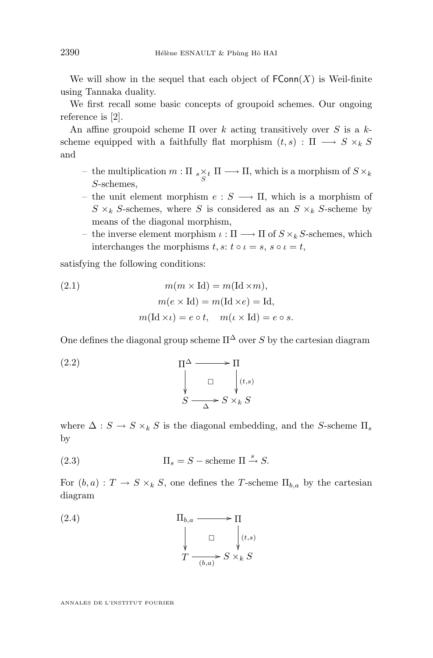<span id="page-10-0"></span>We will show in the sequel that each object of  $\mathsf{FConn}(X)$  is Weil-finite using Tannaka duality.

We first recall some basic concepts of groupoid schemes. Our ongoing reference is [\[2\]](#page-32-0).

An affine groupoid scheme  $\Pi$  over k acting transitively over S is a kscheme equipped with a faithfully flat morphism  $(t, s) : \Pi \longrightarrow S \times_k S$ and

- the multiplication  $m: \Pi_{s \underset{S}{\times} t} \Pi \longrightarrow \Pi$ , which is a morphism of  $S \times_k$ S-schemes,
- the unit element morphism  $e : S \longrightarrow \Pi$ , which is a morphism of  $S \times_k S$ -schemes, where S is considered as an  $S \times_k S$ -scheme by means of the diagonal morphism,
- the inverse element morphism  $\iota : \Pi \longrightarrow \Pi$  of  $S \times_k S$ -schemes, which interchanges the morphisms  $t, s: t \circ \iota = s, s \circ \iota = t$ ,

satisfying the following conditions:

(2.1) 
$$
m(m \times \text{Id}) = m(\text{Id} \times m),
$$

$$
m(e \times \text{Id}) = m(\text{Id} \times e) = \text{Id},
$$

$$
m(\text{Id} \times \iota) = e \circ t, \quad m(\iota \times \text{Id}) = e \circ s.
$$

One defines the diagonal group scheme  $\Pi^{\Delta}$  over S by the cartesian diagram

(2.2) 
$$
\Pi^{\Delta} \longrightarrow \Pi
$$

$$
\downarrow \qquad \Box \qquad \downarrow (t,s)
$$

$$
S \longrightarrow S \times_k S
$$

where  $\Delta : S \to S \times_k S$  is the diagonal embedding, and the S-scheme  $\Pi_s$ by

(2.3) 
$$
\Pi_s = S - \text{scheme } \Pi \stackrel{s}{\rightarrow} S.
$$

For  $(b, a) : T \to S \times_k S$ , one defines the T-scheme  $\Pi_{b,a}$  by the cartesian diagram

(2.4) 
$$
\Pi_{b,a} \longrightarrow \Pi
$$

$$
\downarrow \qquad \square \qquad \downarrow (t,s)
$$

$$
T \xrightarrow{\qquad \qquad \square} S \times_k S
$$

ANNALES DE L'INSTITUT FOURIER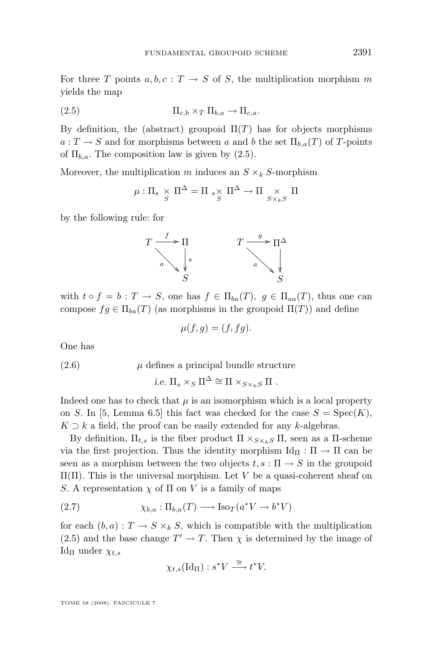<span id="page-11-0"></span>For three T points  $a, b, c : T \to S$  of S, the multiplication morphism m yields the map

$$
(2.5) \t\t \Pi_{c,b} \times_T \Pi_{b,a} \to \Pi_{c,a}.
$$

By definition, the (abstract) groupoid  $\Pi(T)$  has for objects morphisms  $a: T \to S$  and for morphisms between a and b the set  $\Pi_{b,a}(T)$  of T-points of  $\Pi_{b,a}$ . The composition law is given by  $(2.5)$ .

Moreover, the multiplication m induces an  $S \times_k S$ -morphism

$$
\mu: \Pi_s \underset{S}{\times} \Pi^{\Delta} = \Pi \underset{S}{\times} \Pi^{\Delta} \to \Pi \underset{S \times_k S}{\times} \Pi
$$

by the following rule: for



with  $t \circ f = b : T \to S$ , one has  $f \in \Pi_{ba}(T)$ ,  $g \in \Pi_{aa}(T)$ , thus one can compose  $fg \in \Pi_{ba}(T)$  (as morphisms in the groupoid  $\Pi(T)$ ) and define

$$
\mu(f,g) = (f, fg).
$$

One has

$$
(2.6) \t\t \mu defines a principal bundle structure
$$

*i.e.*  $\Pi_s \times_S \Pi^{\Delta} \cong \Pi \times_{S \times_k S} \Pi$ .

Indeed one has to check that  $\mu$  is an isomorphism which is a local property on S. In [\[5,](#page-32-0) Lemma 6.5] this fact was checked for the case  $S = \text{Spec}(K)$ ,  $K \supset k$  a field, the proof can be easily extended for any k-algebras.

By definition,  $\Pi_{t,s}$  is the fiber product  $\Pi \times_{S \times_k S} \Pi$ , seen as a  $\Pi$ -scheme via the first projection. Thus the identity morphism  $\mathrm{Id}_{\Pi} : \Pi \to \Pi$  can be seen as a morphism between the two objects  $t, s : \Pi \to S$  in the groupoid  $\Pi(\Pi)$ . This is the universal morphism. Let V be a quasi-coherent sheaf on S. A representation  $\chi$  of  $\Pi$  on V is a family of maps

(2.7) 
$$
\chi_{b,a} : \Pi_{b,a}(T) \longrightarrow \text{Iso}_{T}(a^*V \to b^*V)
$$

for each  $(b, a): T \to S \times_k S$ , which is compatible with the multiplication (2.5) and the base change  $T' \to T$ . Then  $\chi$  is determined by the image of Id<sub>Π</sub> under  $\chi_{t,s}$ 

$$
\chi_{t,s}(\mathrm{Id}_{\Pi}): s^*V \stackrel{\cong}{\longrightarrow} t^*V.
$$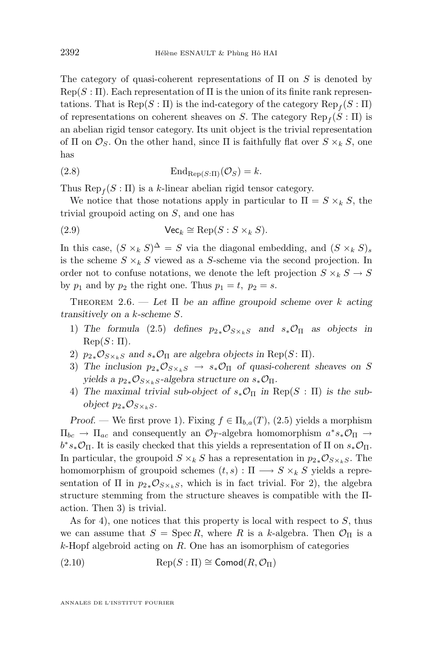<span id="page-12-0"></span>The category of quasi-coherent representations of  $\Pi$  on S is denoted by  $\text{Rep}(S : \Pi)$ . Each representation of  $\Pi$  is the union of its finite rank representations. That is  $\operatorname{Rep}(S : \Pi)$  is the ind-category of the category  $\operatorname{Rep}_f(S : \Pi)$ of representations on coherent sheaves on S. The category  $\operatorname{Rep}_f(S:\Pi)$  is an abelian rigid tensor category. Its unit object is the trivial representation of Π on  $\mathcal{O}_S$ . On the other hand, since Π is faithfully flat over  $S \times_k S$ , one has

(2.8) 
$$
\mathrm{End}_{\mathrm{Rep}(S:\Pi)}(\mathcal{O}_S)=k.
$$

Thus  $\operatorname{Rep}_f(S:\Pi)$  is a k-linear abelian rigid tensor category.

We notice that those notations apply in particular to  $\Pi = S \times_k S$ , the trivial groupoid acting on S, and one has

(2.9) 
$$
\mathsf{Vec}_k \cong \operatorname{Rep}(S : S \times_k S).
$$

In this case,  $(S \times_k S)^{\Delta} = S$  via the diagonal embedding, and  $(S \times_k S)_s$ is the scheme  $S \times_k S$  viewed as a S-scheme via the second projection. In order not to confuse notations, we denote the left projection  $S \times_k S \to S$ by  $p_1$  and by  $p_2$  the right one. Thus  $p_1 = t$ ,  $p_2 = s$ .

THEOREM 2.6. — Let  $\Pi$  be an affine groupoid scheme over k acting *transitively on a* k*-scheme* S*.*

- 1) The formula [\(2.5\)](#page-11-0) defines  $p_{2*}O_{S\times_k S}$  and  $s_*O_{\Pi}$  as objects in  $\mathrm{Rep}(S: \Pi)$ .
- 2)  $p_{2*} \mathcal{O}_{S \times_k S}$  and  $s_* \mathcal{O}_{\Pi}$  are algebra objects in Rep(S:  $\Pi$ ).
- 3) The inclusion  $p_{2*} \mathcal{O}_{S \times_k S} \rightarrow s_* \mathcal{O}_{\Pi}$  of quasi-coherent sheaves on S *yields a*  $p_{2*}O_{S\times_k S}$ -algebra structure on  $s_*O_{\Pi}$ .
- 4) The maximal trivial sub-object of  $s_*\mathcal{O}_{\Pi}$  in Rep(S :  $\Pi$ ) is the sub*object*  $p_{2*}\mathcal{O}_{S\times_k S}$ .

*Proof.* — We first prove 1). Fixing  $f \in \Pi_{b,a}(T)$ , [\(2.5\)](#page-11-0) yields a morphism  $\Pi_{bc} \to \Pi_{ac}$  and consequently an  $\mathcal{O}_T$ -algebra homomorphism  $a^*s_*\mathcal{O}_{\Pi} \to$  $b^*s_*\mathcal{O}_\Pi$ . It is easily checked that this yields a representation of  $\Pi$  on  $s_*\mathcal{O}_\Pi$ . In particular, the groupoid  $S \times_k S$  has a representation in  $p_{2*} \mathcal{O}_{S \times_k S}$ . The homomorphism of groupoid schemes  $(t, s) : \Pi \longrightarrow S \times_k S$  yields a representation of  $\Pi$  in  $p_{2*}\mathcal{O}_{S\times_k S}$ , which is in fact trivial. For 2), the algebra structure stemming from the structure sheaves is compatible with the Πaction. Then 3) is trivial.

As for 4), one notices that this property is local with respect to  $S$ , thus we can assume that  $S = \text{Spec } R$ , where R is a k-algebra. Then  $\mathcal{O}_{\Pi}$  is a  $k$ -Hopf algebroid acting on R. One has an isomorphism of categories

$$
(2.10) \t\t\t Rep(S: \Pi) \cong \text{Comod}(R, \mathcal{O}_{\Pi})
$$

ANNALES DE L'INSTITUT FOURIER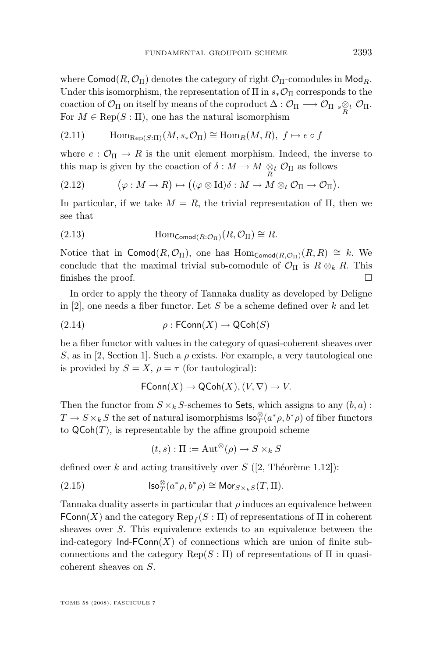<span id="page-13-0"></span>where Comod $(R, \mathcal{O}_{\Pi})$  denotes the category of right  $\mathcal{O}_{\Pi}$ -comodules in Mod<sub>R</sub>. Under this isomorphism, the representation of  $\Pi$  in  $s_*\mathcal{O}_{\Pi}$  corresponds to the coaction of  $\mathcal{O}_\Pi$  on itself by means of the coproduct  $\Delta: \mathcal{O}_\Pi \longrightarrow \mathcal{O}_\Pi$  s $\underset{R}{\otimes}_t \mathcal{O}_\Pi$ .<br>For  $M \subseteq \text{Bone}(S \cup \Pi)$  are besides noticed isomorphism For  $M \in \text{Rep}(S : \Pi)$ , one has the natural isomorphism

(2.11) 
$$
\text{Hom}_{\text{Rep}(S:\Pi)}(M, s_*\mathcal{O}_{\Pi}) \cong \text{Hom}_R(M, R), \ f \mapsto e \circ f
$$

where  $e : \mathcal{O}_{\Pi} \to R$  is the unit element morphism. Indeed, the inverse to this map is given by the coaction of  $\delta : M \to M \underset{R}{\otimes} _t \mathcal{O}_{\Pi}$  as follows

(2.12) 
$$
(\varphi: M \to R) \mapsto ((\varphi \otimes \text{Id})\delta: M \to M \otimes_t \mathcal{O}_{\Pi} \to \mathcal{O}_{\Pi}).
$$

In particular, if we take  $M = R$ , the trivial representation of  $\Pi$ , then we see that

(2.13) 
$$
\text{Hom}_{\text{Comod}(R:\mathcal{O}_{\Pi})}(R,\mathcal{O}_{\Pi}) \cong R.
$$

Notice that in Comod( $R, \mathcal{O}_{\Pi}$ ), one has  $\text{Hom}_{\text{Comod}(R, \mathcal{O}_{\Pi})}(R, R) \cong k$ . We conclude that the maximal trivial sub-comodule of  $\mathcal{O}_{\Pi}$  is  $R \otimes_k R$ . This finishes the proof.  $\Box$ 

In order to apply the theory of Tannaka duality as developed by Deligne in [\[2\]](#page-32-0), one needs a fiber functor. Let  $S$  be a scheme defined over  $k$  and let

$$
(2.14) \qquad \rho : \mathsf{FConn}(X) \to \mathsf{QCoh}(S)
$$

be a fiber functor with values in the category of quasi-coherent sheaves over S, as in [\[2,](#page-32-0) Section 1]. Such a  $\rho$  exists. For example, a very tautological one is provided by  $S = X$ ,  $\rho = \tau$  (for tautological):

$$
\mathsf{FConn}(X)\to\mathsf{QCoh}(X), (V,\nabla)\mapsto V.
$$

Then the functor from  $S \times_k S$ -schemes to Sets, which assigns to any  $(b, a)$ :  $T \to S \times_k S$  the set of natural isomorphisms  $\mathsf{Iso}^\otimes_T(a^*\rho, b^*\rho)$  of fiber functors to  $\mathsf{QCoh}(T)$ , is representable by the affine groupoid scheme

$$
(t,s): \Pi := \operatorname{Aut}^{\otimes}(\rho) \to S \times_k S
$$

defined over k and acting transitively over  $S$  ([\[2,](#page-32-0) Théorème 1.12]):

(2.15) 
$$
\operatorname{Iso}_{T}^{\otimes}(a^*\rho,b^*\rho)\cong \operatorname{Mor}_{S\times_k S}(T,\Pi).
$$

Tannaka duality asserts in particular that  $\rho$  induces an equivalence between  $\mathsf{FConn}(X)$  and the category  $\operatorname{Rep}_f(S:\Pi)$  of representations of  $\Pi$  in coherent sheaves over S. This equivalence extends to an equivalence between the ind-category  $Ind-FConn(X)$  of connections which are union of finite subconnections and the category  $\text{Rep}(S : \Pi)$  of representations of  $\Pi$  in quasicoherent sheaves on S.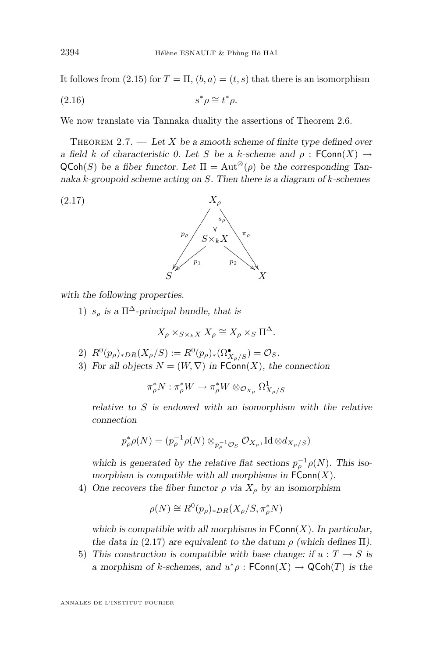<span id="page-14-0"></span>It follows from [\(2.15\)](#page-13-0) for  $T = \Pi$ ,  $(b, a) = (t, s)$  that there is an isomorphism

$$
(2.16) \t\t s^*\rho \cong t^*\rho.
$$

We now translate via Tannaka duality the assertions of Theorem [2.6.](#page-12-0)

THEOREM 2.7. — Let X be a smooth scheme of finite type defined over *a* field *k* of characteristic 0. Let S be a k-scheme and  $\rho$  :  $\mathsf{FConn}(X) \to$  $\mathsf{QCoh}(S)$  *be a fiber functor. Let*  $\Pi = \mathrm{Aut}^{\otimes}(\rho)$  *be the corresponding Tannaka* k*-groupoid scheme acting on* S*. Then there is a diagram of* k*-schemes*



*with the following properties.*

1)  $s_\rho$  is a  $\Pi^\Delta$ -principal bundle, that is

$$
X_{\rho} \times_{S \times_k X} X_{\rho} \cong X_{\rho} \times_S \Pi^{\Delta}.
$$

- 2)  $R^0(p_\rho)_{*DR}(X_\rho/S) := R^0(p_\rho)_{*}(\Omega^{\bullet}_{X_\rho/S}) = \mathcal{O}_S.$
- 3) For all objects  $N = (W, \nabla)$  in  $\mathsf{FConn}(X)$ , the connection

$$
\pi_\rho^* N:\pi_\rho^* W\to \pi_\rho^* W\otimes_{\mathcal{O}_{X_\rho}} \Omega^1_{X_\rho/S}
$$

*relative to* S *is endowed with an isomorphism with the relative connection*

$$
p_\rho^* \rho(N) = (p_\rho^{-1} \rho(N) \otimes_{p_\rho^{-1} \mathcal{O}_S} \mathcal{O}_{X_\rho}, \operatorname{Id} \otimes d_{X_\rho/S})
$$

which is generated by the relative flat sections  $p_{\rho}^{-1}\rho(N)$ . This iso*morphism is compatible with all morphisms in*  $\mathsf{FConn}(X)$ *.* 

4) One recovers the fiber functor  $\rho$  *via*  $X_{\rho}$  *by an isomorphism* 

$$
\rho(N) \cong R^0(p_\rho)_{*DR}(X_\rho/S, \pi_\rho^*N)
$$

which is compatible with all morphisms in  $\mathsf{FConn}(X)$ . In particular, *the data in* (2.17) *are equivalent to the datum*  $\rho$  *(which defines*  $\Pi$ *)*.

5) This construction is compatible with base change: if  $u : T \to S$  is *a* morphism of *k*-schemes, and  $u^*\rho$ :  $\mathsf{FConn}(X) \to \mathsf{QCoh}(T)$  is the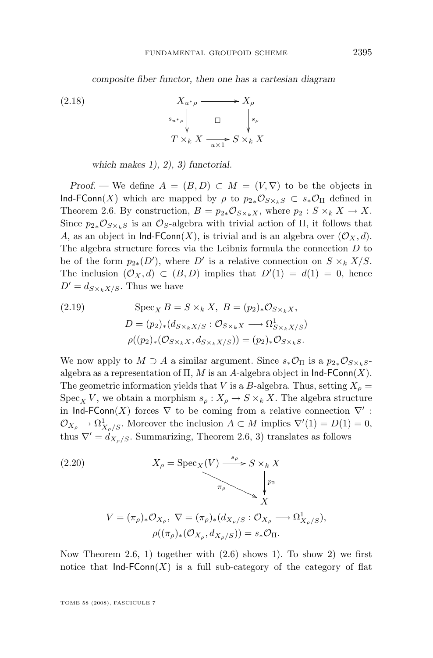*composite fiber functor, then one has a cartesian diagram*

<span id="page-15-0"></span> $X_{u^*\rho} \longrightarrow X_\rho$  $s_{u^*\rho}$   $s_{\rho}$  $\mathbf{r}$ ľ  $T \times_k X \xrightarrow[u \times 1]{} S \times_k X$ (2.18)

*which makes 1), 2), 3) functorial.*

*Proof.* — We define  $A = (B, D) \subset M = (V, \nabla)$  to be the objects in Ind-FConn(X) which are mapped by  $\rho$  to  $p_{2*}\mathcal{O}_{S\times_kS} \subset s_*\mathcal{O}_{\Pi}$  defined in Theorem [2.6.](#page-12-0) By construction,  $B = p_{2*} \mathcal{O}_{S \times_k X}$ , where  $p_2 : S \times_k X \to X$ . Since  $p_{2*}\mathcal{O}_{S\times_kS}$  is an  $\mathcal{O}_S$ -algebra with trivial action of  $\Pi$ , it follows that A, as an object in  $\textsf{Ind-FConn}(X)$ , is trivial and is an algebra over  $(\mathcal{O}_X, d)$ . The algebra structure forces via the Leibniz formula the connection D to be of the form  $p_{2*}(D')$ , where D' is a relative connection on  $S \times_k X/S$ . The inclusion  $(\mathcal{O}_X, d) \subset (B, D)$  implies that  $D'(1) = d(1) = 0$ , hence  $D' = d_{S \times kX/S}$ . Thus we have

(2.19) 
$$
\operatorname{Spec}_{X} B = S \times_{k} X, B = (p_{2})_{*} \mathcal{O}_{S \times_{k} X},
$$

$$
D = (p_{2})_{*} (d_{S \times_{k} X/S} : \mathcal{O}_{S \times_{k} X} \longrightarrow \Omega_{S \times_{k} X/S}^{1})
$$

$$
\rho((p_{2})_{*} (\mathcal{O}_{S \times_{k} X}, d_{S \times_{k} X/S})) = (p_{2})_{*} \mathcal{O}_{S \times_{k} S}.
$$

We now apply to  $M \supset A$  a similar argument. Since  $s_*\mathcal{O}_{\Pi}$  is a  $p_{2*}\mathcal{O}_{S\times_kS}$ algebra as a representation of  $\Pi$ , M is an A-algebra object in  $\textsf{Ind-FConn}(X)$ . The geometric information yields that V is a B-algebra. Thus, setting  $X_{\rho} =$  $Spec_{X} V$ , we obtain a morphism  $s_{\rho}: X_{\rho} \to S \times_{k} X$ . The algebra structure in Ind-FConn(X) forces  $\nabla$  to be coming from a relative connection  $\nabla'$ :  $\mathcal{O}_{X_{\rho}} \to \Omega^1_{X_{\rho}/S}$ . Moreover the inclusion  $A \subset M$  implies  $\nabla'(1) = D(1) = 0$ , thus  $\nabla' = d_{X_0/S}$ . Summarizing, Theorem [2.6,](#page-12-0) 3) translates as follows

(2.20)  
\n
$$
X_{\rho} = \operatorname{Spec}_{X}(V) \xrightarrow{s_{\rho}} S \times_{k} X
$$
\n
$$
V = (\pi_{\rho})_{*} \mathcal{O}_{X_{\rho}}, \nabla = (\pi_{\rho})_{*} (d_{X_{\rho}/S} : \mathcal{O}_{X_{\rho}} \longrightarrow \Omega^{1}_{X_{\rho}/S}),
$$
\n
$$
\rho((\pi_{\rho})_{*} (\mathcal{O}_{X_{\rho}}, d_{X_{\rho}/S})) = s_{*} \mathcal{O}_{\Pi}.
$$

Now Theorem [2.6,](#page-12-0) 1) together with  $(2.6)$  shows 1). To show 2) we first notice that  $Ind-FConn(X)$  is a full sub-category of the category of flat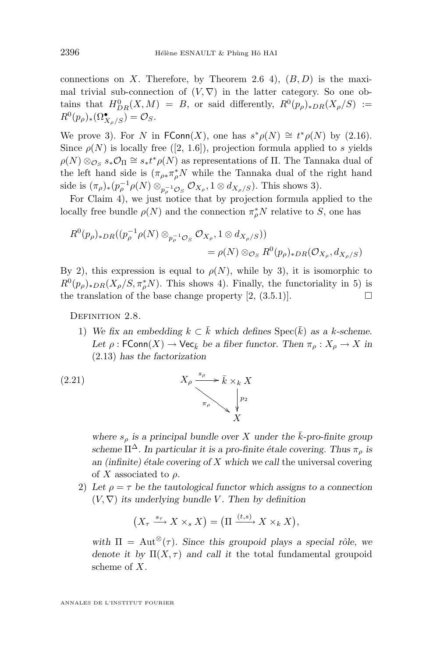<span id="page-16-0"></span>connections on X. Therefore, by Theorem [2.6](#page-12-0) 4),  $(B, D)$  is the maximal trivial sub-connection of  $(V, \nabla)$  in the latter category. So one obtains that  $H^0_{DR}(X,M) = B$ , or said differently,  $R^0(p_\rho)_{D,R}(X_\rho/S) :=$  $R^0(p_\rho)_*(\Omega^\bullet_{X_\rho/S}) = \mathcal{O}_S.$ 

We prove 3). For N in FConn(X), one has  $s^*\rho(N) \cong t^*\rho(N)$  by [\(2.16\)](#page-14-0). Since  $\rho(N)$  is locally free ([\[2,](#page-32-0) 1.6]), projection formula applied to s yields  $\rho(N) \otimes_{\mathcal{O}_S} s_* \mathcal{O}_{\Pi} \cong s_* t^* \rho(N)$  as representations of  $\Pi$ . The Tannaka dual of the left hand side is  $(\pi_{\rho*}\pi_{\rho}^*N)$  while the Tannaka dual of the right hand side is  $(\pi_{\rho})_*(p_{\rho}^{-1}\rho(N) \otimes_{p_{\rho}^{-1}\mathcal{O}_S} \mathcal{O}_{X_{\rho}}, 1 \otimes d_{X_{\rho}/S})$ . This shows 3).

For Claim 4), we just notice that by projection formula applied to the locally free bundle  $\rho(N)$  and the connection  $\pi_P^* N$  relative to S, one has

$$
R^{0}(p_{\rho})_{*DR}((p_{\rho}^{-1}\rho(N)\otimes_{p_{\rho}^{-1}\mathcal{O}_{S}}\mathcal{O}_{X_{\rho}},1\otimes d_{X_{\rho}/S}))
$$
  
=  $\rho(N)\otimes_{\mathcal{O}_{S}}R^{0}(p_{\rho})_{*DR}(\mathcal{O}_{X_{\rho}},d_{X_{\rho}/S})$ 

By 2), this expression is equal to  $\rho(N)$ , while by 3), it is isomorphic to  $R^0(p_\rho)_{*DR}(X_\rho/S, \pi_\rho^*N)$ . This shows 4). Finally, the functoriality in 5) is the translation of the base change property  $(2, (3.5.1))$ .

DEFINITION 2.8.

1) We fix an embedding  $k \subset \overline{k}$  which defines  $Spec(\overline{k})$  as a k-scheme. *Let*  $\rho$ : FConn(X)  $\rightarrow$  Vec<sub>k</sub> be a fiber functor. Then  $\pi_{\rho}: X_{\rho} \rightarrow X$  in [\(2.13\)](#page-13-0) *has the factorization*

(2.21) 
$$
X_{\rho} \xrightarrow{\ s_{\rho} \ } \bar{k} \times_{k} X
$$
\n
$$
\overbrace{\qquad \qquad \pi_{\rho} \ }^{p_{2}} \qquad \qquad X
$$

where  $s_o$  is a principal bundle over X under the  $\bar{k}$ -pro-finite group *scheme*  $\Pi^{\Delta}$ *. In particular it is a pro-finite étale covering. Thus*  $\pi_{\rho}$  *is an (infinite) étale covering of* X *which we call* the universal covering of X associated to  $\rho$ .

2) Let  $\rho = \tau$  be the tautological functor which assigns to a connection  $(V, \nabla)$  *its underlying bundle V. Then by definition* 

$$
(X_{\tau} \xrightarrow{s_{\tau}} X \times_{s} X) = (\Pi \xrightarrow{(t,s)} X \times_{k} X),
$$

with  $\Pi = \text{Aut}^{\otimes}(\tau)$ *. Since this groupoid plays a special rôle, we denote it by*  $\Pi(X, \tau)$  *and call it* the total fundamental groupoid scheme of X*.*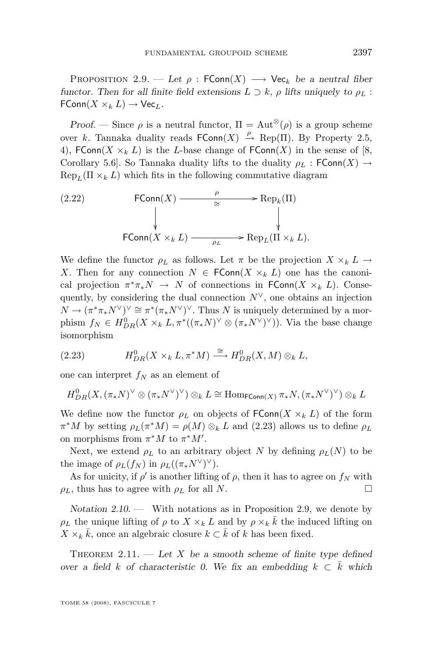<span id="page-17-0"></span>PROPOSITION 2.9. — Let  $\rho$ : FConn(X)  $\longrightarrow$  Vec<sub>k</sub> be a neutral fiber *functor. Then for all finite field extensions*  $L \supset k$ ,  $\rho$  *lifts uniquely to*  $\rho_L$ :  $\mathsf{FConn}(X\times_k L)\to \mathsf{Vec}_L$ .

*Proof.* — Since  $\rho$  is a neutral functor,  $\Pi = \text{Aut}^{\otimes}(\rho)$  is a group scheme over k. Tannaka duality reads  $\mathsf{FConn}(X) \stackrel{\rho}{\to} \operatorname{Rep}(\Pi)$ . By Property [2.5,](#page-9-0) 4), FConn(X  $\times_k L$ ) is the L-base change of FConn(X) in the sense of [\[8,](#page-32-0) Corollary 5.6]. So Tannaka duality lifts to the duality  $\rho_L$ : FConn(X)  $\rightarrow$  $\text{Rep}_{L}(\Pi \times_{k} L)$  which fits in the following commutative diagram

(2.22) 
$$
\begin{array}{cccc}\n\text{FConn}(X) & \xrightarrow{\rho} & \text{Rep}_k(\Pi) \\
\downarrow & & \downarrow \\
\text{FConn}(X \times_k L) & \xrightarrow{\rho_L} & \text{Rep}_L(\Pi \times_k L).\n\end{array}
$$

We define the functor  $\rho_L$  as follows. Let  $\pi$  be the projection  $X \times_k L \to$ X. Then for any connection  $N \in \text{FConn}(X \times_k L)$  one has the canonical projection  $\pi^*\pi_*N \to N$  of connections in FConn $(X \times_k L)$ . Consequently, by considering the dual connection  $N^{\vee}$ , one obtains an injection  $N \to (\pi^* \pi_* N^\vee)^\vee \cong \pi^* (\pi_* N^\vee)^\vee$ . Thus N is uniquely determined by a morphism  $f_N \in H^0_{DR}(X \times_k L, \pi^*((\pi_* N)^\vee \otimes (\pi_* N^\vee)^\vee))$ . Via the base change isomorphism

(2.23) 
$$
H_{DR}^0(X \times_k L, \pi^* M) \xrightarrow{\cong} H_{DR}^0(X, M) \otimes_k L,
$$

one can interpret  $f_N$  as an element of

$$
H^0_{DR}(X, (\pi_*N)^\vee \otimes (\pi_*N^\vee)^\vee) \otimes_k L \cong \mathrm{Hom}_{\mathsf{FConn}(X)}\, \pi_*N, (\pi_*N^\vee)^\vee) \otimes_k L
$$

We define now the functor  $\rho_L$  on objects of  $\text{FConn}(X \times_k L)$  of the form  $\pi^*M$  by setting  $\rho_L(\pi^*M) = \rho(M) \otimes_k L$  and (2.23) allows us to define  $\rho_L$ on morphisms from  $\pi^*M$  to  $\pi^*M'$ .

Next, we extend  $\rho_L$  to an arbitrary object N by defining  $\rho_L(N)$  to be the image of  $\rho_L(f_N)$  in  $\rho_L((\pi_*N^\vee)^\vee)$ .

As for unicity, if  $\rho'$  is another lifting of  $\rho$ , then it has to agree on  $f_N$  with  $\rho_L$ , thus has to agree with  $\rho_L$  for all N.

*Notation 2.10. —* With notations as in Proposition [2.9,](#page-16-0) we denote by  $\rho_L$  the unique lifting of  $\rho$  to  $X \times_k L$  and by  $\rho \times_k \overline{k}$  the induced lifting on  $X \times_k \overline{k}$ , once an algebraic closure  $k \subset \overline{k}$  of k has been fixed.

Theorem 2.11. — *Let* X *be a smooth scheme of finite type defined over a field* k *of characteristic 0.* We fix an embedding  $k \text{ }\subset k$  which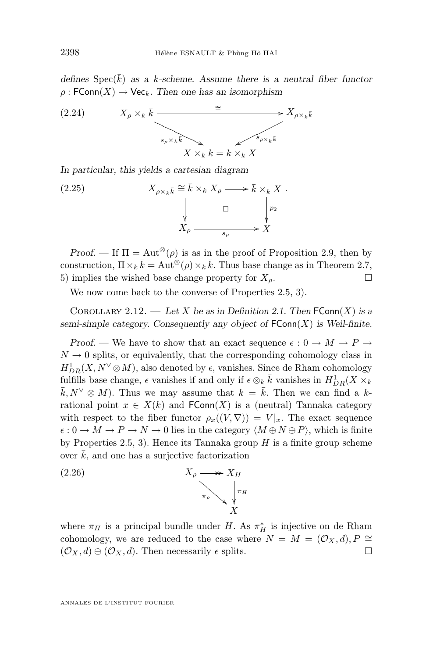*defines*  $Spec(\bar{k})$  *as a k-scheme. Assume there is a neutral fiber functor*  $\rho$ : FConn(X)  $\rightarrow$  Vec<sub>k</sub>. Then one has an isomorphism



*In particular, this yields a cartesian diagram*

(2.25) 
$$
X_{\rho \times_k \bar{k}} \cong \bar{k} \times_k X_{\rho} \longrightarrow \bar{k} \times_k X.
$$

$$
\downarrow \qquad \qquad \Box \qquad \downarrow p_2
$$

$$
X_{\rho} \longrightarrow X
$$

*Proof.* — If  $\Pi = \text{Aut}^{\otimes}(\rho)$  is as in the proof of Proposition [2.9,](#page-16-0) then by construction,  $\Pi \times_k \bar{k} = \text{Aut}^{\otimes}(\rho) \times_k \bar{k}$ . Thus base change as in Theorem [2.7,](#page-14-0) 5) implies the wished base change property for  $X_{\rho}$ .

We now come back to the converse of Properties [2.5,](#page-9-0) 3).

COROLLARY 2.12. — Let X be as in Definition [2.1.](#page-8-0) Then  $\mathsf{FConn}(X)$  is a *semi-simple category. Consequently any object of*  $\text{FConn}(X)$  *is Weil-finite.* 

*Proof.* — We have to show that an exact sequence  $\epsilon : 0 \to M \to P \to$  $N \to 0$  splits, or equivalently, that the corresponding cohomology class in  $H_{DR}^1(X, N^{\vee}\otimes M)$ , also denoted by  $\epsilon$ , vanishes. Since de Rham cohomology fulfills base change,  $\epsilon$  vanishes if and only if  $\epsilon \otimes_k \bar{k}$  vanishes in  $H^1_{DR}(X \times_k$  $\bar{k}, N^{\vee} \otimes M$ ). Thus we may assume that  $k = \bar{k}$ . Then we can find a krational point  $x \in X(k)$  and  $FConn(X)$  is a (neutral) Tannaka category with respect to the fiber functor  $\rho_x((V, \nabla)) = V|_x$ . The exact sequence  $\epsilon: 0 \to M \to P \to N \to 0$  lies in the category  $\langle M \oplus N \oplus P \rangle$ , which is finite by Properties [2.5,](#page-9-0) 3). Hence its Tannaka group  $H$  is a finite group scheme over  $\bar{k}$ , and one has a surjective factorization

(2.26) 
$$
X_{\rho} \longrightarrow X_{H}
$$
\n
$$
\uparrow \qquad \qquad \downarrow \qquad \qquad \downarrow \qquad \qquad \downarrow \qquad \downarrow
$$
\n
$$
X
$$

where  $\pi_H$  is a principal bundle under H. As  $\pi_H^*$  is injective on de Rham cohomology, we are reduced to the case where  $N = M = (\mathcal{O}_X, d), P \cong$  $(\mathcal{O}_X, d) \oplus (\mathcal{O}_X, d)$ . Then necessarily  $\epsilon$  splits.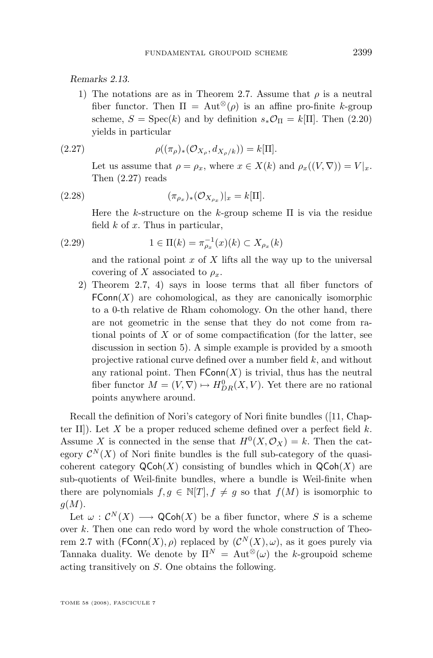<span id="page-19-0"></span>*Remarks 2.13.*

1) The notations are as in Theorem [2.7.](#page-14-0) Assume that  $\rho$  is a neutral fiber functor. Then  $\Pi = \text{Aut}^{\otimes}(\rho)$  is an affine pro-finite k-group scheme,  $S = \text{Spec}(k)$  and by definition  $s_*\mathcal{O}_{\Pi} = k[\Pi]$ . Then [\(2.20\)](#page-15-0) yields in particular

(2.27) 
$$
\rho((\pi_{\rho})_{*}(\mathcal{O}_{X_{\rho}}, d_{X_{\rho}/k})) = k[\Pi].
$$

Let us assume that  $\rho = \rho_x$ , where  $x \in X(k)$  and  $\rho_x((V, \nabla)) = V|_x$ . Then (2.27) reads

(2.28) 
$$
(\pi_{\rho_x})_*(\mathcal{O}_{X_{\rho_x}})|_x = k[\Pi].
$$

Here the k-structure on the k-group scheme  $\Pi$  is via the residue field  $k$  of  $x$ . Thus in particular,

(2.29) 
$$
1 \in \Pi(k) = \pi_{\rho_x}^{-1}(x)(k) \subset X_{\rho_x}(k)
$$

and the rational point  $x$  of  $X$  lifts all the way up to the universal covering of X associated to  $\rho_x$ .

2) Theorem [2.7,](#page-14-0) 4) says in loose terms that all fiber functors of  $FConn(X)$  are cohomological, as they are canonically isomorphic to a 0-th relative de Rham cohomology. On the other hand, there are not geometric in the sense that they do not come from rational points of  $X$  or of some compactification (for the latter, see discussion in section 5). A simple example is provided by a smooth projective rational curve defined over a number field k, and without any rational point. Then  $FConn(X)$  is trivial, thus has the neutral fiber functor  $M = (V, \nabla) \mapsto H^0_{DR}(X, V)$ . Yet there are no rational points anywhere around.

Recall the definition of Nori's category of Nori finite bundles ([\[11,](#page-32-0) Chapter II]). Let X be a proper reduced scheme defined over a perfect field  $k$ . Assume X is connected in the sense that  $H^0(X, \mathcal{O}_X) = k$ . Then the category  $\mathcal{C}^N(X)$  of Nori finite bundles is the full sub-category of the quasicoherent category  $\mathsf{QCoh}(X)$  consisting of bundles which in  $\mathsf{QCoh}(X)$  are sub-quotients of Weil-finite bundles, where a bundle is Weil-finite when there are polynomials  $f, g \in \mathbb{N}[T], f \neq g$  so that  $f(M)$  is isomorphic to  $g(M)$ .

Let  $\omega: \mathcal{C}^N(X) \longrightarrow \mathsf{QCoh}(X)$  be a fiber functor, where S is a scheme over k. Then one can redo word by word the whole construction of Theo-rem [2.7](#page-14-0) with  $(\mathsf{FConn}(X), \rho)$  replaced by  $(\mathcal{C}^N(X), \omega)$ , as it goes purely via Tannaka duality. We denote by  $\Pi^N = \text{Aut}^{\otimes}(\omega)$  the k-groupoid scheme acting transitively on S. One obtains the following.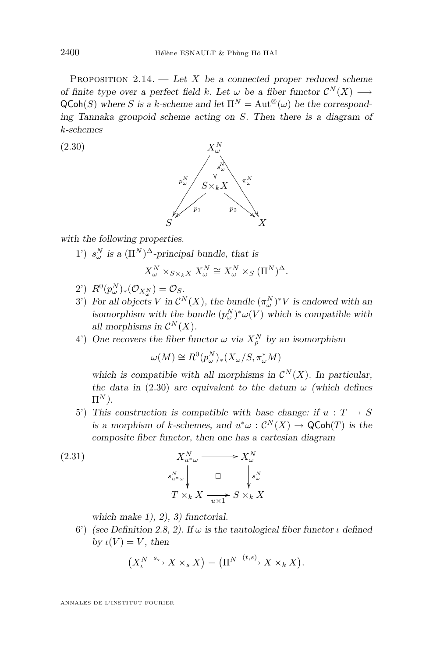<span id="page-20-0"></span>Proposition 2.14. — *Let* X *be a connected proper reduced scheme of finite type over a perfect field k. Let*  $\omega$  *be a fiber functor*  $\mathcal{C}^N(X) \longrightarrow$  $QCoh(S)$  where S is a k-scheme and let  $\Pi^N = \text{Aut}^{\otimes}(\omega)$  be the correspond*ing Tannaka groupoid scheme acting on* S*. Then there is a diagram of* k*-schemes*

(2.30)



*with the following properties.*

1')  $s^N_\omega$  is a  $(\Pi^N)^{\Delta}$ -principal bundle, that is

$$
X_\omega^N\times_{S\times_kX}X_\omega^N\cong X_\omega^N\times_S(\Pi^N)^\Delta.
$$

- 2')  $R^0(p_\omega^N)_*(\mathcal{O}_{X_\omega^N}) = \mathcal{O}_S$ .
- 3') For all objects V in  $\mathcal{C}^N(X)$ , the bundle  $(\pi_\omega^N)^*V$  is endowed with an *isomorphism with the bundle*  $(p_\omega^N)^* \omega(V)$  *which is compatible with all morphisms in*  $\mathcal{C}^N(X)$ *.*
- 4') One recovers the fiber functor  $\omega$  via  $X_{\rho}^N$  by an isomorphism

$$
\omega(M) \cong R^0(p_\omega^N)_*(X_\omega/S, \pi_\omega^*M)
$$

which is compatible with all morphisms in  $\mathcal{C}^N(X)$ . In particular, *the data in* (2.30) *are equivalent to the datum*  $\omega$  *(which defines*  $\Pi^N$ ).

5') This construction is compatible with base change: if  $u : T \to S$ *is a morphism of k-schemes, and*  $u^*\omega$  :  $C^N(X) \to \mathsf{QCoh}(T)$  *is the composite fiber functor, then one has a cartesian diagram*

(2.31)  
\n
$$
X_{u^*\omega}^N \xrightarrow{\qquad} X_{\omega}^N
$$
\n
$$
s_{u^*\omega}^N \qquad \Box \qquad \int_{s_{\omega}^N} s_{\omega}^N
$$
\n
$$
T \times_k X \xrightarrow{\qquad \qquad}_{u \times 1} S \times_k X
$$

*which make 1), 2), 3) functorial.*

6') *(see Definition [2.8,](#page-16-0) 2).* If  $\omega$  is the tautological fiber functor  $\iota$  defined *by*  $\iota(V) = V$ *, then* 

$$
(XtN \xrightarrow{s_{\tau}} X \times_{s} X) = (\PiN \xrightarrow{(t,s)} X \times_{k} X).
$$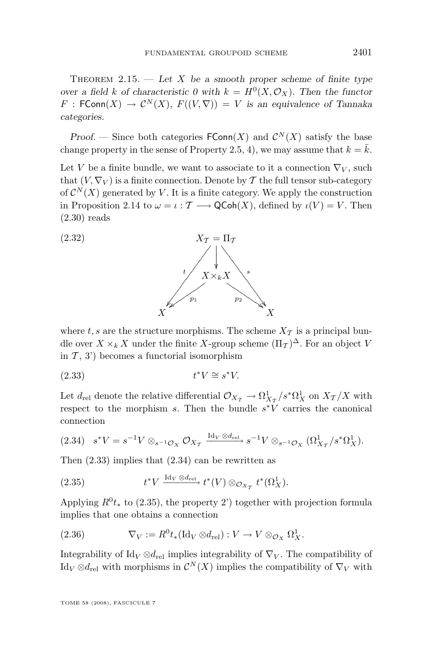<span id="page-21-0"></span>THEOREM  $2.15.$  — Let X be a smooth proper scheme of finite type *over a field* k of characteristic 0 with  $k = H^0(X, \mathcal{O}_X)$ . Then the functor  $F : \mathsf{FConn}(X) \to \mathcal{C}^N(X), F((V, \nabla)) = V$  *is an equivalence of Tannaka categories.*

*Proof.* – Since both categories  $\mathsf{FConn}(X)$  and  $\mathcal{C}^N(X)$  satisfy the base change property in the sense of Property [2.5,](#page-9-0) 4), we may assume that  $k = \overline{k}$ .

Let V be a finite bundle, we want to associate to it a connection  $\nabla_V$ , such that  $(V, \nabla_V)$  is a finite connection. Denote by T the full tensor sub-category of  $\mathcal{C}^N(X)$  generated by V. It is a finite category. We apply the construction in Proposition [2.14](#page-19-0) to  $\omega = \iota : \mathcal{T} \longrightarrow \mathsf{QCoh}(X)$ , defined by  $\iota(V) = V$ . Then [\(2.30\)](#page-20-0) reads



where t, s are the structure morphisms. The scheme  $X_{\mathcal{T}}$  is a principal bundle over  $X \times_k X$  under the finite X-group scheme  $(\Pi_{\mathcal{T}})^{\Delta}$ . For an object V in  $\mathcal{T}$ , 3') becomes a functorial isomorphism

$$
(2.33) \t t^*V \cong s^*V.
$$

Let  $d_{\text{rel}}$  denote the relative differential  $\mathcal{O}_{X_{\mathcal{T}}} \to \Omega^1_{X_{\mathcal{T}}}/s^*\Omega^1_X$  on  $X_{\mathcal{T}}/X$  with respect to the morphism  $s$ . Then the bundle  $s^*V$  carries the canonical connection

$$
(2.34) \quad s^*V = s^{-1}V \otimes_{s^{-1}\mathcal{O}_X} \mathcal{O}_{X_\mathcal{T}} \xrightarrow{\mathrm{Id}_V \otimes d_{\mathrm{rel}}} s^{-1}V \otimes_{s^{-1}\mathcal{O}_X} (\Omega^1_{X_\mathcal{T}}/s^*\Omega^1_X).
$$

Then (2.33) implies that (2.34) can be rewritten as

(2.35) 
$$
t^*V \xrightarrow{\mathrm{Id}_V \otimes d_{\mathrm{rel}}} t^*(V) \otimes_{\mathcal{O}_{X_T}} t^*(\Omega_X^1).
$$

Applying  $R^0 t_*$  to (2.35), the property 2') together with projection formula implies that one obtains a connection

(2.36) 
$$
\nabla_V := R^0 t_* (\text{Id}_V \otimes d_{\text{rel}}) : V \to V \otimes_{\mathcal{O}_X} \Omega^1_X.
$$

Integrability of Id<sub>V</sub>  $\otimes d_{\text{rel}}$  implies integrability of  $\nabla_V$ . The compatibility of Id<sub>V</sub>  $\otimes d_{rel}$  with morphisms in  $\mathcal{C}^N(X)$  implies the compatibility of  $\nabla_V$  with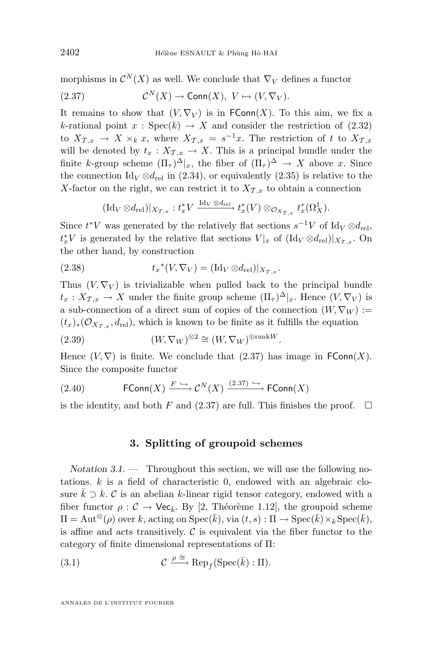morphisms in  $\mathcal{C}^N(X)$  as well. We conclude that  $\nabla_V$  defines a functor (2.37)  $\mathcal{C}^N(X) \to \text{Conn}(X), V \mapsto (V, \nabla_V).$ 

It remains to show that  $(V, \nabla_V)$  is in FConn $(X)$ . To this aim, we fix a k-rational point  $x : \text{Spec}(k) \to X$  and consider the restriction of [\(2.32\)](#page-21-0) to  $X_{\mathcal{T},x} \to X \times_k x$ , where  $X_{\mathcal{T},x} = s^{-1}x$ . The restriction of t to  $X_{\mathcal{T},x}$ will be denoted by  $t_x: X_{\mathcal{T},x} \to X$ . This is a principal bundle under the finite k-group scheme  $(\Pi_{\tau})^{\Delta}|_x$ , the fiber of  $(\Pi_{\tau})^{\Delta} \to X$  above x. Since the connection Id<sub>V</sub>  $\otimes d_{rel}$  in [\(2.34\)](#page-21-0), or equivalently [\(2.35\)](#page-21-0) is relative to the X-factor on the right, we can restrict it to  $X_{\mathcal{T},x}$  to obtain a connection

$$
(\operatorname{Id}_V\otimes d_{\operatorname{rel}})|_{{X}_{\mathcal{T},x}}:t_x^*V \xrightarrow{\operatorname{Id}_V\otimes d_{\operatorname{rel}} }t_x^*(V)\otimes_{{\mathcal O}_{{X}_{\mathcal{T},x}}}t_x^*(\Omega_X^1).
$$

Since  $t^*V$  was generated by the relatively flat sections  $s^{-1}V$  of  $\mathrm{Id}_V \otimes d_{\mathrm{rel}}$ ,  $t_x^*V$  is generated by the relative flat sections  $V|x$  of  $(\mathrm{Id}_V \otimes d_{\mathrm{rel}})|_{X_{\mathcal{T},x}}$ . On the other hand, by construction

(2.38) 
$$
t_x^*(V, \nabla_V) = (\text{Id}_V \otimes d_{\text{rel}})|_{X_{\mathcal{T},x}}.
$$

Thus  $(V, \nabla_V)$  is trivializable when pulled back to the principal bundle  $t_x: X_{\mathcal{T},x} \to X$  under the finite group scheme  $(\Pi_{\tau})^{\Delta}|_x$ . Hence  $(V, \nabla_V)$  is a sub-connection of a direct sum of copies of the connection  $(W, \nabla_W) :=$  $(t_x)_*(\mathcal{O}_{X_{\mathcal{T},x}}, d_{\text{rel}})$ , which is known to be finite as it fulfills the equation

(2.39) 
$$
(W, \nabla_W)^{\otimes 2} \cong (W, \nabla_W)^{\oplus \text{rank}W}.
$$

Hence  $(V, \nabla)$  is finite. We conclude that  $(2.37)$  has image in FConn $(X)$ . Since the composite functor

(2.40) 
$$
\mathsf{FConn}(X) \xrightarrow{F \hookrightarrow} \mathcal{C}^N(X) \xrightarrow{(2.37) \hookrightarrow} \mathsf{FConn}(X)
$$

is the identity, and both F and  $(2.37)$  are full. This finishes the proof.  $\Box$ 

#### **3. Splitting of groupoid schemes**

*Notation 3.1. —* Throughout this section, we will use the following notations. k is a field of characteristic 0, endowed with an algebraic closure  $\bar{k} \supset k$ . C is an abelian k-linear rigid tensor category, endowed with a fiber functor  $\rho : C \to \text{Vec}_{\bar{k}}$ . By [\[2,](#page-32-0) Théorème 1.12], the groupoid scheme  $\Pi = \text{Aut}^{\otimes}(\rho)$  over k, acting on  $\text{Spec}(\bar{k})$ , via  $(t, s) : \Pi \to \text{Spec}(\bar{k}) \times_k \text{Spec}(\bar{k}),$ is affine and acts transitively.  $\mathcal C$  is equivalent via the fiber functor to the category of finite dimensional representations of Π:

(3.1) 
$$
\mathcal{C} \xrightarrow{\rho \cong} \operatorname{Rep}_f(\operatorname{Spec}(\overline{k}):\Pi).
$$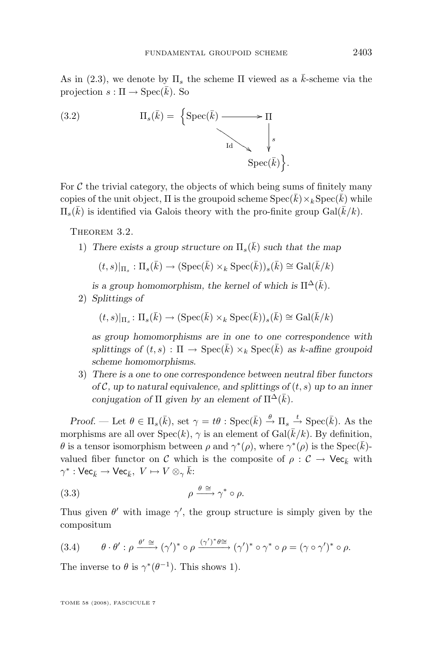<span id="page-23-0"></span>As in [\(2.3\)](#page-10-0), we denote by  $\Pi_s$  the scheme  $\Pi$  viewed as a k-scheme via the projection  $s : \Pi \to \text{Spec}(\overline{k})$ . So

(3.2) 
$$
\Pi_s(\bar{k}) = \left\{ \text{Spec}(\bar{k}) \longrightarrow \Pi \atop \text{Id} \searrow \downarrow s \atop \text{Spec}(\bar{k}) \right\}
$$

For  $C$  the trivial category, the objects of which being sums of finitely many copies of the unit object,  $\Pi$  is the groupoid scheme  $Spec(\overline{k})\times_k Spec(\overline{k})$  while  $\Pi_s(\bar{k})$  is identified via Galois theory with the pro-finite group  $Gal(\bar{k}/k)$ .

.

THEOREM 3.2.

1) There exists a group structure on  $\Pi_s(\bar{k})$  such that the map

$$
(t,s)|_{\Pi_s} : \Pi_s(\bar{k}) \to (\operatorname{Spec}(\bar{k}) \times_k \operatorname{Spec}(\bar{k}))_s(\bar{k}) \cong \operatorname{Gal}(\bar{k}/k)
$$

*is a group homomorphism, the kernel of which is*  $\Pi^{\Delta}(\bar{k})$ *.* 

2) *Splittings of*

$$
(t,s)|_{\Pi_s} \colon \Pi_s(\bar{k}) \to (\operatorname{Spec}(\bar{k}) \times_k \operatorname{Spec}(\bar{k}))_s(\bar{k}) \cong \operatorname{Gal}(\bar{k}/k)
$$

*as group homomorphisms are in one to one correspondence with splittings of*  $(t, s)$ :  $\Pi \rightarrow \text{Spec}(\overline{k}) \times_k \text{Spec}(\overline{k})$  *as k-affine groupoid scheme homomorphisms.*

3) *There is a one to one correspondence between neutral fiber functors of*  $\mathcal{C}$ *, up to natural equivalence, and splittings of*  $(t, s)$  *up to an inner conjugation of*  $\Pi$  *given by an element of*  $\Pi^{\Delta}(\bar{k})$ *.* 

*Proof.* — Let  $\theta \in \Pi_s(\bar{k})$ , set  $\gamma = t\theta$ : Spec $(\bar{k}) \stackrel{\theta}{\to} \Pi_s \stackrel{t}{\to} \text{Spec}(\bar{k})$ . As the morphisms are all over  $Spec(k), \gamma$  is an element of  $Gal(\bar{k}/k)$ . By definition, θ is a tensor isomorphism between  $\rho$  and  $\gamma^*(\rho)$ , where  $\gamma^*(\rho)$  is the Spec( $\bar{k}$ )valued fiber functor on C which is the composite of  $\rho : \mathcal{C} \to \mathsf{Vec}_{\bar{k}}$  with  $\gamma^*:\mathsf{Vec}_{\bar{k}}\to\mathsf{Vec}_{\bar{k}},\,\,V\mapsto V\otimes_\gamma\bar{k}.$ 

$$
\rho \xrightarrow{\theta \cong} \gamma^* \circ \rho.
$$

Thus given  $\theta'$  with image  $\gamma'$ , the group structure is simply given by the compositum

(3.4) 
$$
\theta \cdot \theta' : \rho \xrightarrow{\theta' \cong} (\gamma')^* \circ \rho \xrightarrow{(\gamma')^* \theta \cong} (\gamma')^* \circ \gamma^* \circ \rho = (\gamma \circ \gamma')^* \circ \rho.
$$

The inverse to  $\theta$  is  $\gamma^*(\theta^{-1})$ . This shows 1).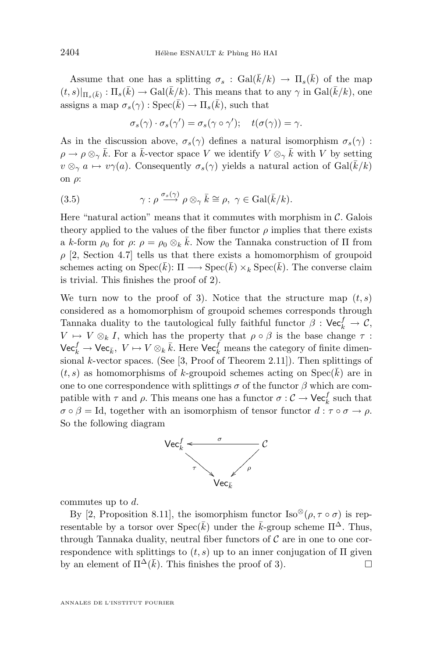Assume that one has a splitting  $\sigma_s$ :  $Gal(\bar{k}/k) \rightarrow \Pi_s(\bar{k})$  of the map  $(t, s)|_{\Pi_s(\bar{k})}: \Pi_s(\bar{k}) \to \text{Gal}(\bar{k}/k)$ . This means that to any  $\gamma$  in  $\text{Gal}(\bar{k}/k)$ , one assigns a map  $\sigma_s(\gamma) : \text{Spec}(\bar{k}) \to \Pi_s(\bar{k}),$  such that

$$
\sigma_s(\gamma) \cdot \sigma_s(\gamma') = \sigma_s(\gamma \circ \gamma'); \quad t(\sigma(\gamma)) = \gamma.
$$

As in the discussion above,  $\sigma_s(\gamma)$  defines a natural isomorphism  $\sigma_s(\gamma)$ :  $\rho \to \rho \otimes_{\gamma} \bar{k}$ . For a  $\bar{k}$ -vector space V we identify  $V \otimes_{\gamma} \bar{k}$  with V by setting  $v \otimes_{\gamma} a \mapsto v\gamma(a)$ . Consequently  $\sigma_s(\gamma)$  yields a natural action of Gal( $\bar{k}/k$ ) on ρ:

(3.5) 
$$
\gamma : \rho \xrightarrow{\sigma_s(\gamma)} \rho \otimes_{\gamma} \bar{k} \cong \rho, \ \gamma \in \text{Gal}(\bar{k}/k).
$$

Here "natural action" means that it commutes with morphism in  $\mathcal{C}$ . Galois theory applied to the values of the fiber functor  $\rho$  implies that there exists a k-form  $\rho_0$  for  $\rho: \rho = \rho_0 \otimes_k \bar{k}$ . Now the Tannaka construction of  $\Pi$  from  $\rho$  [\[2,](#page-32-0) Section 4.7] tells us that there exists a homomorphism of groupoid schemes acting on  $Spec(\bar{k})$ :  $\Pi \longrightarrow Spec(\bar{k}) \times_k Spec(\bar{k})$ . The converse claim is trivial. This finishes the proof of 2).

We turn now to the proof of 3). Notice that the structure map  $(t, s)$ considered as a homomorphism of groupoid schemes corresponds through Tannaka duality to the tautological fully faithful functor  $\beta$  :  $\mathsf{Vec}_{k}^{f} \to \mathcal{C}$ ,  $V \mapsto V \otimes_k I$ , which has the property that  $\rho \circ \beta$  is the base change  $\tau$ :  $\mathsf{Vec}_k^f \to \mathsf{Vec}_{\bar k},\ V \mapsto V\otimes_k \bar k.$  Here  $\mathsf{Vec}_k^f$  means the category of finite dimensional k-vector spaces. (See  $[3, \text{Proof of Theorem 2.11}].$  $[3, \text{Proof of Theorem 2.11}].$  Then splittings of  $(t, s)$  as homomorphisms of k-groupoid schemes acting on  $Spec(\overline{k})$  are in one to one correspondence with splittings  $\sigma$  of the functor  $\beta$  which are compatible with  $\tau$  and  $\rho$ . This means one has a functor  $\sigma : \mathcal{C} \to \mathsf{Vec}_{k}^f$  such that  $\sigma \circ \beta = \text{Id}$ , together with an isomorphism of tensor functor  $d : \tau \circ \sigma \to \rho$ . So the following diagram



commutes up to d.

By [\[2,](#page-32-0) Proposition 8.11], the isomorphism functor Iso<sup>⊗</sup>( $\rho, \tau \circ \sigma$ ) is representable by a torsor over  $Spec(\bar{k})$  under the  $\bar{k}$ -group scheme  $\Pi^{\Delta}$ . Thus, through Tannaka duality, neutral fiber functors of  $\mathcal C$  are in one to one correspondence with splittings to  $(t, s)$  up to an inner conjugation of  $\Pi$  given by an element of  $\Pi^{\Delta}(\bar{k})$ . This finishes the proof of 3).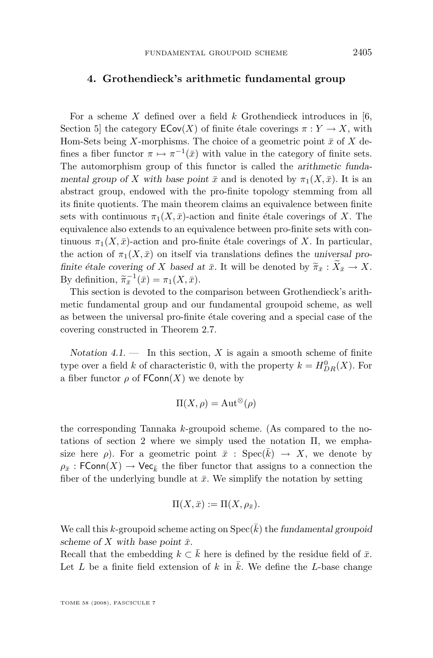#### **4. Grothendieck's arithmetic fundamental group**

For a scheme X defined over a field  $k$  Grothendieck introduces in [\[6,](#page-32-0) Section 5] the category  $\mathsf{ECov}(X)$  of finite étale coverings  $\pi: Y \to X$ , with Hom-Sets being X-morphisms. The choice of a geometric point  $\bar{x}$  of X defines a fiber functor  $\pi \mapsto \pi^{-1}(\bar{x})$  with value in the category of finite sets. The automorphism group of this functor is called the *arithmetic fundamental group of* X with base point  $\bar{x}$  and is denoted by  $\pi_1(X, \bar{x})$ . It is an abstract group, endowed with the pro-finite topology stemming from all its finite quotients. The main theorem claims an equivalence between finite sets with continuous  $\pi_1(X, \bar{x})$ -action and finite étale coverings of X. The equivalence also extends to an equivalence between pro-finite sets with continuous  $\pi_1(X, \bar{x})$ -action and pro-finite étale coverings of X. In particular, the action of  $\pi_1(X,\bar{x})$  on itself via translations defines the *universal profinite étale covering of* X *based at*  $\bar{x}$ . It will be denoted by  $\tilde{\pi}_{\bar{x}} : \tilde{X}_{\bar{x}} \to X$ . By definition,  $\widetilde{\pi}_{\overline{x}}^{-1}(\overline{x}) = \pi_1(X, \overline{x}).$ <br>This section is deveted to the a

This section is devoted to the comparison between Grothendieck's arithmetic fundamental group and our fundamental groupoid scheme, as well as between the universal pro-finite étale covering and a special case of the covering constructed in Theorem [2.7.](#page-14-0)

*Notation 4.1.* — In this section,  $X$  is again a smooth scheme of finite type over a field k of characteristic 0, with the property  $k = H_{DR}^0(X)$ . For a fiber functor  $\rho$  of  $\text{FConn}(X)$  we denote by

$$
\Pi(X,\rho) = \mathrm{Aut}^{\otimes}(\rho)
$$

the corresponding Tannaka k-groupoid scheme. (As compared to the notations of section 2 where we simply used the notation Π, we emphasize here  $\rho$ ). For a geometric point  $\bar{x}$  : Spec $(k) \rightarrow X$ , we denote by  $\rho_{\bar{x}}$ : FConn $(X) \to \text{Vec}_{\bar{k}}$  the fiber functor that assigns to a connection the fiber of the underlying bundle at  $\bar{x}$ . We simplify the notation by setting

$$
\Pi(X,\bar{x}) := \Pi(X,\rho_{\bar{x}}).
$$

We call this k-groupoid scheme acting on  $\operatorname{Spec}(\overline{k})$  the *fundamental groupoid scheme of* X with base point  $\bar{x}$ .

Recall that the embedding  $k \subset \overline{k}$  here is defined by the residue field of  $\overline{x}$ . Let  $L$  be a finite field extension of  $k$  in  $k$ . We define the  $L$ -base change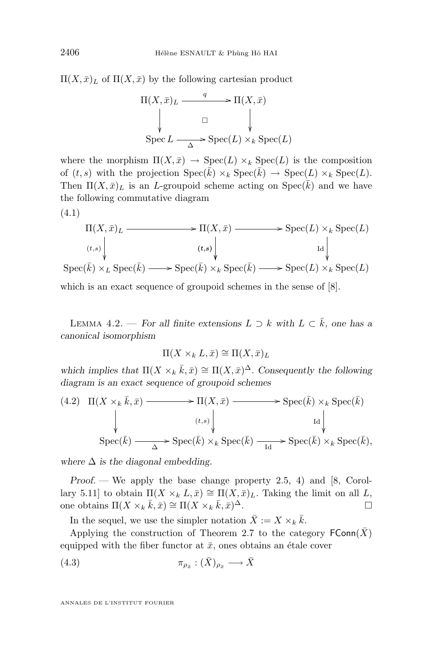<span id="page-26-0"></span> $\Pi(X,\bar{x})_L$  of  $\Pi(X,\bar{x})$  by the following cartesian product

$$
\Pi(X, \bar{x})_L \xrightarrow{q} \Pi(X, \bar{x})
$$
\n
$$
\downarrow \qquad \qquad \Box \qquad \qquad \downarrow
$$
\n
$$
\text{Spec } L \xrightarrow{\Delta} \text{Spec}(L) \times_k \text{Spec}(L)
$$

where the morphism  $\Pi(X,\bar{x}) \to \text{Spec}(L) \times_k \text{Spec}(L)$  is the composition of  $(t, s)$  with the projection  $Spec(\bar{k}) \times_k Spec(\bar{k}) \rightarrow Spec(L) \times_k Spec(L)$ . Then  $\Pi(X,\bar{x})_L$  is an *L*-groupoid scheme acting on  $Spec(\bar{k})$  and we have the following commutative diagram

$$
\Pi(X, \bar{x})_L \longrightarrow \Pi(X, \bar{x}) \longrightarrow \operatorname{Spec}(L) \times_k \operatorname{Spec}(L)
$$
\n
$$
\begin{array}{c}\n\downarrow \\
\downarrow \\
\downarrow \\
\operatorname{Spec}(\bar{k}) \times_L \operatorname{Spec}(\bar{k}) \longrightarrow \operatorname{Spec}(\bar{k}) \times_k \operatorname{Spec}(\bar{k}) \longrightarrow \operatorname{Spec}(L) \times_k \operatorname{Spec}(L)\n\end{array}
$$

which is an exact sequence of groupoid schemes in the sense of [\[8\]](#page-32-0).

LEMMA 4.2. — *For all finite extensions*  $L \supset k$  *with*  $L \subset \overline{k}$ *, one has a canonical isomorphism*

$$
\Pi(X \times_k L, \bar{x}) \cong \Pi(X, \bar{x})_L
$$

which implies that  $\Pi(X \times_k \bar{k}, \bar{x}) \cong \Pi(X, \bar{x})^{\Delta}$ . Consequently the following *diagram is an exact sequence of groupoid schemes*

(4.2) 
$$
\Pi(X \times_k \bar{k}, \bar{x}) \longrightarrow \Pi(X, \bar{x}) \longrightarrow \operatorname{Spec}(\bar{k}) \times_k \operatorname{Spec}(\bar{k})
$$
  
\n
$$
\downarrow \qquad \qquad \downarrow \qquad \qquad \downarrow \qquad \qquad \downarrow
$$
\n
$$
\operatorname{Spec}(\bar{k}) \longrightarrow \operatorname{Spec}(\bar{k}) \times_k \operatorname{Spec}(\bar{k}) \longrightarrow \operatorname{Spec}(\bar{k}) \times_k \operatorname{Spec}(\bar{k}),
$$

*where*  $\Delta$  *is the diagonal embedding.* 

*Proof.* — We apply the base change property [2.5,](#page-9-0) 4) and [\[8,](#page-32-0) Corollary 5.11] to obtain  $\Pi(X \times_k L, \bar{x}) \cong \Pi(X, \bar{x})_L$ . Taking the limit on all L, one obtains  $\Pi(X \times_k \bar{k}, \bar{x}) \cong \Pi(X \times_k \bar{k}, \bar{x})$ <sup>∆</sup>.

In the sequel, we use the simpler notation  $\bar{X} := X \times_k \bar{k}$ .

Applying the construction of Theorem [2.7](#page-14-0) to the category  $\mathsf{FConn}(X)$ equipped with the fiber functor at  $\bar{x}$ , ones obtains an étale cover

$$
(4.3) \t\t \pi_{\rho_{\bar{x}}} : (\bar{X})_{\rho_{\bar{x}}} \longrightarrow \bar{X}
$$

ANNALES DE L'INSTITUT FOURIER

(4.1)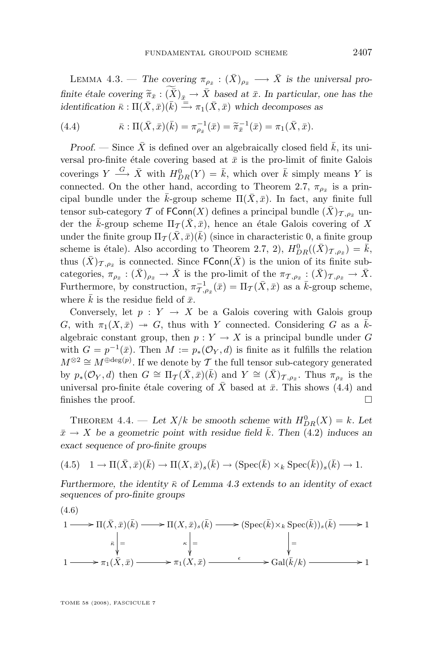<span id="page-27-0"></span>LEMMA 4.3. — The covering  $\pi_{\rho_{\bar{x}}} : (\bar{X})_{\rho_{\bar{x}}} \longrightarrow \bar{X}$  is the universal pro*finite étale covering*  $\widetilde{\pi}_{\bar{x}} : (\widetilde{\overline{X}})_{\bar{x}} \to \overline{X}$  *based at*  $\bar{x}$ *. In particular, one has the identification*  $\bar{\kappa} : \Pi(\bar{X}, \bar{x})(\bar{k}) \stackrel{\equiv}{\longrightarrow} \pi_1(\bar{X}, \bar{x})$  which decomposes as

(4.4) 
$$
\bar{\kappa} : \Pi(\bar{X}, \bar{x})(\bar{k}) = \pi_{\rho_{\bar{x}}}^{-1}(\bar{x}) = \widetilde{\pi}_{\bar{x}}^{-1}(\bar{x}) = \pi_1(\bar{X}, \bar{x}).
$$

*Proof.* — Since  $\bar{X}$  is defined over an algebraically closed field  $\bar{k}$ , its universal pro-finite étale covering based at  $\bar{x}$  is the pro-limit of finite Galois coverings  $Y \stackrel{G}{\longrightarrow} \bar{X}$  with  $H_{DR}^0(Y) = \bar{k}$ , which over  $\bar{k}$  simply means Y is connected. On the other hand, according to Theorem [2.7,](#page-14-0)  $\pi_{\rho_{\bar{x}}}$  is a principal bundle under the  $\bar{k}$ -group scheme  $\Pi(\bar{X}, \bar{x})$ . In fact, any finite full tensor sub-category T of FConn(X) defines a principal bundle  $(\bar{X})_{\mathcal{T},\rho_{\bar{x}}}$  under the  $\bar{k}$ -group scheme  $\Pi_{\mathcal{T}}(\bar{X}, \bar{x})$ , hence an étale Galois covering of X under the finite group  $\Pi_{\mathcal{I}}(\bar{X},\bar{x})(\bar{k})$  (since in characteristic 0, a finite group scheme is étale). Also according to Theorem [2.7,](#page-14-0) 2),  $H_{DR}^0((\bar{X})_{\mathcal{T},\rho_{\bar{x}}}) = \bar{k}$ , thus  $(\bar{X})_{\mathcal{T},\rho_{\bar{x}}}$  is connected. Since  $\mathsf{FConn}(\bar{X})$  is the union of its finite subcategories,  $\pi_{\rho_{\bar{x}}} : (\bar{X})_{\rho_{\bar{x}}} \to \bar{X}$  is the pro-limit of the  $\pi_{\mathcal{T},\rho_{\bar{x}}} : (\bar{X})_{\mathcal{T},\rho_{\bar{x}}} \to \bar{X}$ . Furthermore, by construction,  $\pi_{\mathcal{T},\rho_{\bar{x}}}^{-1}(\bar{x}) = \Pi_{\mathcal{T}}(\bar{X},\bar{x})$  as a  $\bar{k}$ -group scheme, where  $\overline{k}$  is the residue field of  $\overline{x}$ .

Conversely, let  $p : Y \to X$  be a Galois covering with Galois group G, with  $\pi_1(X,\bar{x}) \to G$ , thus with Y connected. Considering G as a  $\bar{k}$ algebraic constant group, then  $p: Y \to X$  is a principal bundle under G with  $G = p^{-1}(\bar{x})$ . Then  $M := p_*(\mathcal{O}_Y, d)$  is finite as it fulfills the relation  $M^{\otimes 2} \cong M^{\oplus \deg(p)}$ . If we denote by  $\mathcal T$  the full tensor sub-category generated by  $p_*(\mathcal{O}_Y, d)$  then  $G \cong \Pi_{\mathcal{T}}(\bar{X}, \bar{x})(\bar{k})$  and  $Y \cong (\bar{X})_{\mathcal{T}, \rho_{\bar{x}}}$ . Thus  $\pi_{\rho_{\bar{x}}}$  is the universal pro-finite étale covering of  $\bar{X}$  based at  $\bar{x}$ . This shows (4.4) and finishes the proof.  $\Box$ 

THEOREM 4.4. — Let  $X/k$  be smooth scheme with  $H_{DR}^0(X) = k$ . Let  $\bar{x} \rightarrow X$  be a geometric point with residue field k. Then [\(4.2\)](#page-26-0) induces an *exact sequence of pro-finite groups*

$$
(4.5) \quad 1 \to \Pi(\bar{X}, \bar{x})(\bar{k}) \to \Pi(X, \bar{x})_s(\bar{k}) \to (\text{Spec}(\bar{k}) \times_k \text{Spec}(\bar{k}))_s(\bar{k}) \to 1.
$$

*Furthermore, the identity*  $\bar{\kappa}$  *of Lemma [4.3](#page-26-0) extends to an identity of exact sequences of pro-finite groups*

$$
1 \longrightarrow \Pi(\bar{X}, \bar{x})(\bar{k}) \longrightarrow \Pi(X, \bar{x})_s(\bar{k}) \longrightarrow (\operatorname{Spec}(\bar{k}) \times_k \operatorname{Spec}(\bar{k}))_s(\bar{k}) \longrightarrow 1
$$
  
\n
$$
\bar{k} \Big|_{\bar{x}} = \Big|_{\bar{X}, \bar{x}} \Big|_{\bar{x}} = \Big|_{\bar{X}, \bar{x}} \longrightarrow \pi_1(\bar{X}, \bar{x}) \longrightarrow \pi_1(X, \bar{x}) \longrightarrow \operatorname{Gal}(\bar{k}/k) \longrightarrow 1
$$

(4.6)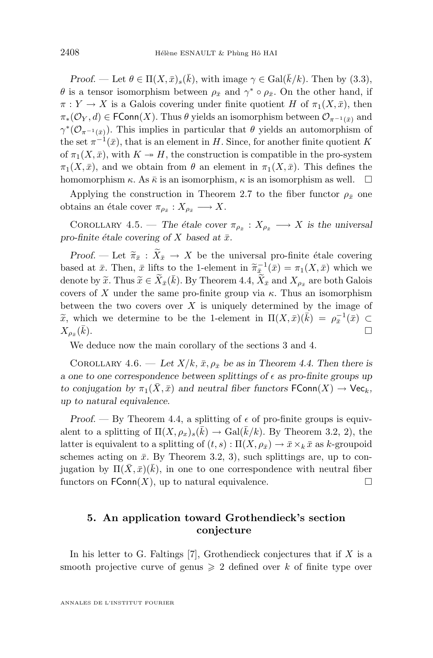<span id="page-28-0"></span>*Proof.* — Let  $\theta \in \Pi(X, \bar{x})_s(\bar{k})$ , with image  $\gamma \in \text{Gal}(\bar{k}/k)$ . Then by [\(3.3\)](#page-23-0),  $\theta$  is a tensor isomorphism between  $\rho_{\bar{x}}$  and  $\gamma^* \circ \rho_{\bar{x}}$ . On the other hand, if  $\pi: Y \to X$  is a Galois covering under finite quotient H of  $\pi_1(X, \bar{x})$ , then  $\pi_*(\mathcal{O}_Y, d) \in \mathsf{FConn}(X)$ . Thus  $\theta$  yields an isomorphism between  $\mathcal{O}_{\pi^{-1}(\bar{x})}$  and  $\gamma^*(\mathcal{O}_{\pi^{-1}(\bar{x})})$ . This implies in particular that  $\theta$  yields an automorphism of the set  $\pi^{-1}(\bar{x})$ , that is an element in H. Since, for another finite quotient K of  $\pi_1(X, \bar{x})$ , with  $K \to H$ , the construction is compatible in the pro-system  $\pi_1(X,\bar{x})$ , and we obtain from  $\theta$  an element in  $\pi_1(X,\bar{x})$ . This defines the homomorphism  $\kappa$ . As  $\bar{\kappa}$  is an isomorphism,  $\kappa$  is an isomorphism as well.  $\square$ 

Applying the construction in Theorem [2.7](#page-14-0) to the fiber functor  $\rho_{\bar{x}}$  one obtains an étale cover  $\pi_{\rho_{\bar{x}}}: X_{\rho_{\bar{x}}} \longrightarrow X$ .

COROLLARY 4.5. — The étale cover  $\pi_{\rho_{\bar{x}}} : X_{\rho_{\bar{x}}} \longrightarrow X$  is the universal *pro-finite étale covering of* X *based at*  $\bar{x}$ *.* 

*Proof.* — Let  $\tilde{\pi}_{\bar{x}} : \tilde{X}_{\bar{x}} \to X$  be the universal pro-finite étale covering based at  $\bar{x}$ . Then,  $\bar{x}$  lifts to the 1-element in  $\widetilde{\pi}_{\bar{x}}^{-1}(\bar{x}) = \pi_1(X, \bar{x})$  which we denote by  $\widetilde{\pi}$ . Thus  $\widetilde{\pi} \in \widetilde{Y}$ ,  $(\bar{h})$ . By Theorem 4.4,  $\widetilde{Y}$ , and  $Y$ , are both Galais denote by  $\widetilde{x}$ . Thus  $\widetilde{x} \in \widetilde{X}_{\bar{x}}(\bar{k})$ . By Theorem [4.4,](#page-27-0)  $\widetilde{X}_{\bar{x}}$  and  $X_{\rho_{\bar{x}}}$  are both Galois covers of X under the same pro-finite group via  $\kappa$ . Thus an isomorphism between the two covers over  $X$  is uniquely determined by the image of  $\widetilde{x}$ , which we determine to be the 1-element in  $\Pi(X,\bar{x})(\bar{k}) = \rho_{\bar{x}}^{-1}(\bar{x}) \subset$ <br> $\Gamma(\bar{k})$  $X_{\rho_{\bar{x}}}($  $\bar{k}$ ).

We deduce now the main corollary of the sections 3 and 4.

COROLLARY 4.6. — Let  $X/k$ ,  $\bar{x}$ ,  $\rho_{\bar{x}}$  be as in Theorem [4.4.](#page-27-0) Then there is *a* one to one correspondence between splittings of  $\epsilon$  as pro-finite groups up *to conjugation by*  $\pi_1(\bar{X}, \bar{x})$  *and neutral fiber functors*  $\mathsf{FConn}(X) \to \mathsf{Vec}_k$ , *up to natural equivalence.*

*Proof.* — By Theorem [4.4,](#page-27-0) a splitting of  $\epsilon$  of pro-finite groups is equivalent to a splitting of  $\Pi(X, \rho_x)_s(\bar{k}) \to \text{Gal}(\bar{k}/k)$ . By Theorem [3.2,](#page-23-0) 2), the latter is equivalent to a splitting of  $(t, s) : \Pi(X, \rho_{\bar{x}}) \to \bar{x} \times_k \bar{x}$  as k-groupoid schemes acting on  $\bar{x}$ . By Theorem [3.2,](#page-23-0) 3), such splittings are, up to conjugation by  $\Pi(\bar{X}, \bar{x})(\bar{k})$ , in one to one correspondence with neutral fiber functors on  $FConn(X)$ , up to natural equivalence.

#### **5. An application toward Grothendieck's section conjecture**

In his letter to G. Faltings [\[7\]](#page-32-0), Grothendieck conjectures that if  $X$  is a smooth projective curve of genus  $\geq 2$  defined over k of finite type over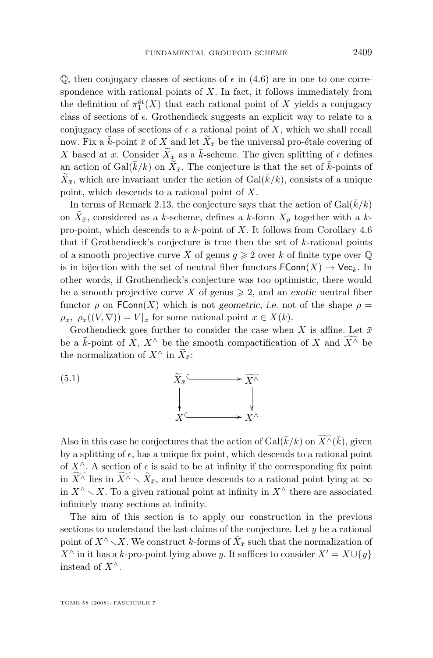$\mathbb{Q}$ , then conjugacy classes of sections of  $\epsilon$  in [\(4.6\)](#page-27-0) are in one to one correspondence with rational points of  $X$ . In fact, it follows immediately from the definition of  $\pi_1^{\text{\'et}}(X)$  that each rational point of X yields a conjugacy class of sections of  $\epsilon$ . Grothendieck suggests an explicit way to relate to a conjugacy class of sections of  $\epsilon$  a rational point of X, which we shall recall now. Fix a  $\bar{k}$ -point  $\bar{x}$  of X and let  $\widetilde{X}_{\bar{x}}$  be the universal pro-étale covering of X based at  $\bar{x}$ . Consider  $\widetilde{X}_{\bar{x}}$  as a  $\bar{k}$ -scheme. The given splitting of  $\epsilon$  defines an action of Gal( $\bar{k}/k$ ) on  $\tilde{X}_{\bar{x}}$ . The conjecture is that the set of  $\bar{k}$ -points of  $\widetilde{X}_{\bar{x}}$ , which are invariant under the action of  $Gal(\bar{k}/k)$ , consists of a unique point, which descends to a rational point of X.

In terms of Remark [2.13,](#page-13-0) the conjecture says that the action of  $Gal(\overline{k}/k)$ on  $\tilde{X}_{\bar{x}}$ , considered as a  $\bar{k}$ -scheme, defines a k-form  $X_{\rho}$  together with a kpro-point, which descends to a  $k$ -point of X. It follows from Corollary [4.6](#page-28-0) that if Grothendieck's conjecture is true then the set of k-rational points of a smooth projective curve X of genus  $g \geqslant 2$  over k of finite type over  $\mathbb Q$ is in bijection with the set of neutral fiber functors  $\mathsf{FConn}(X) \to \mathsf{Vec}_k$ . In other words, if Grothendieck's conjecture was too optimistic, there would be a smooth projective curve X of genus  $\geq 2$ , and an *exotic* neutral fiber functor  $\rho$  on FConn(X) which is not *geometric*, *i.e.* not of the shape  $\rho$  =  $\rho_x$ ,  $\rho_x((V, \nabla)) = V|_x$  for some rational point  $x \in X(k)$ .

Grothendieck goes further to consider the case when X is affine. Let  $\bar{x}$ be a  $\bar{k}$ -point of X,  $X^{\wedge}$  be the smooth compactification of X and  $\overline{X^{\wedge}}$  be the normalization of  $X^{\wedge}$  in  $\widetilde{X}_{\bar{x}}$ :



Also in this case he conjectures that the action of  $Gal(\bar{k}/k)$  on  $\widetilde{X}^{\wedge}(\bar{k})$ , given by a splitting of  $\epsilon$ , has a unique fix point, which descends to a rational point of  $X^{\wedge}$ . A section of  $\epsilon$  is said to be at infinity if the corresponding fix point in  $\widetilde{X^{\wedge}}$  lies in  $\widetilde{X^{\wedge}} \setminus \widetilde{X}_{\bar{x}}$ , and hence descends to a rational point lying at  $\infty$ in  $X^{\wedge} \setminus X$ . To a given rational point at infinity in  $X^{\wedge}$  there are associated infinitely many sections at infinity.

The aim of this section is to apply our construction in the previous sections to understand the last claims of the conjecture. Let  $y$  be a rational point of  $X^{\wedge}\diagdown X$ . We construct  $k$ -forms of  $\tilde{X}_{\bar{x}}$  such that the normalization of  $X^{\wedge}$  in it has a k-pro-point lying above y. It suffices to consider  $X' = X \cup \{y\}$ instead of  $X^{\wedge}$ .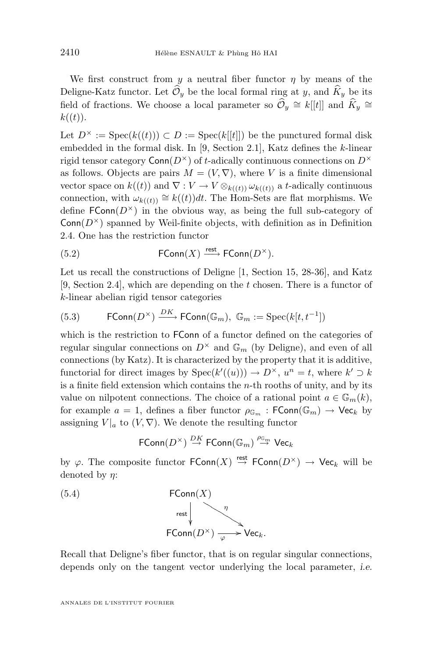<span id="page-30-0"></span>We first construct from y a neutral fiber functor  $\eta$  by means of the Deligne-Katz functor. Let  $\widehat{\mathcal{O}}_y$  be the local formal ring at y, and  $\widehat{K}_y$  be its field of fractions. We choose a local parameter so  $\hat{\mathcal{O}}_y \cong k[[t]]$  and  $\hat{K}_y \cong$  $k((t)).$ 

Let  $D^{\times}$  := Spec $(k((t))) \subset D$  := Spec $(k[[t]])$  be the punctured formal disk embedded in the formal disk. In [\[9,](#page-32-0) Section 2.1], Katz defines the k-linear rigid tensor category  $Conn(D^{\times})$  of t-adically continuous connections on  $D^{\times}$ as follows. Objects are pairs  $M = (V, \nabla)$ , where V is a finite dimensional vector space on  $k((t))$  and  $\nabla: V \to V \otimes_{k((t))} \omega_{k((t))}$  a t-adically continuous connection, with  $\omega_{k((t))} \cong k((t))dt$ . The Hom-Sets are flat morphisms. We define  $FConn(D^{\times})$  in the obvious way, as being the full sub-category of  $Conn(D^{\times})$  spanned by Weil-finite objects, with definition as in Definition [2.4.](#page-9-0) One has the restriction functor

(5.2) 
$$
\mathsf{FConn}(X) \xrightarrow{\text{rest}} \mathsf{FConn}(D^{\times}).
$$

Let us recall the constructions of Deligne [\[1,](#page-32-0) Section 15, 28-36], and Katz [\[9,](#page-32-0) Section 2.4], which are depending on the t chosen. There is a functor of k-linear abelian rigid tensor categories

(5.3) 
$$
\mathsf{FConn}(D^{\times}) \xrightarrow{DK} \mathsf{FConn}(\mathbb{G}_m), \mathbb{G}_m := \mathsf{Spec}(k[t, t^{-1}])
$$

which is the restriction to FConn of a functor defined on the categories of regular singular connections on  $D^{\times}$  and  $\mathbb{G}_m$  (by Deligne), and even of all connections (by Katz). It is characterized by the property that it is additive, functorial for direct images by  $Spec(k'((u))) \to D^{\times}, u^n = t$ , where  $k' \supset k$ is a finite field extension which contains the  $n$ -th rooths of unity, and by its value on nilpotent connections. The choice of a rational point  $a \in \mathbb{G}_m(k)$ , for example  $a = 1$ , defines a fiber functor  $\rho_{\mathbb{G}_m}$ : FConn $(\mathbb{G}_m) \to \mathsf{Vec}_k$  by assigning  $V|_a$  to  $(V, \nabla)$ . We denote the resulting functor

$$
\mathsf{FConn}(D^{\times})\stackrel{DK}{\to}\mathsf{FConn}(\mathbb{G}_m)\stackrel{\rho_{\mathbb{G}_m}}{\to}\mathsf{Vec}_k
$$

by  $\varphi$ . The composite functor  $\mathsf{FConn}(X) \stackrel{\mathsf{rest}}{\to} \mathsf{FConn}(D^\times) \to \mathsf{Vec}_k$  will be denoted by  $\eta$ :

(5.4) 
$$
\mathsf{FConn}(X)
$$
  
\n $\underset{\mathsf{rest}}{\mathsf{H}} \qquad \qquad \underset{\varphi}{\longrightarrow} \mathsf{Vec}_k.$ 

Recall that Deligne's fiber functor, that is on regular singular connections, depends only on the tangent vector underlying the local parameter, *i.e.*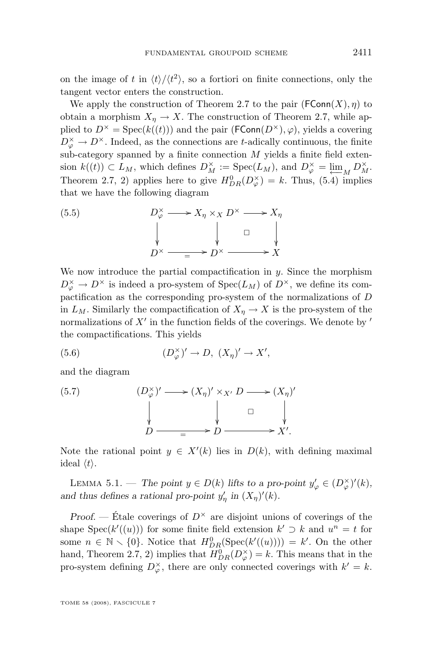on the image of t in  $\langle t \rangle / \langle t^2 \rangle$ , so a fortiori on finite connections, only the tangent vector enters the construction.

We apply the construction of Theorem [2.7](#page-14-0) to the pair  $(\mathsf{FConn}(X),\eta)$  to obtain a morphism  $X_n \to X$ . The construction of Theorem [2.7,](#page-14-0) while applied to  $D^{\times} = \text{Spec}(k((t)))$  and the pair  $(\text{FConn}(D^{\times}), \varphi)$ , yields a covering  $D^{\times}_{\varphi} \to D^{\times}$ . Indeed, as the connections are t-adically continuous, the finite sub-category spanned by a finite connection  $M$  yields a finite field extension  $k((t)) \subset L_M$ , which defines  $D_M^{\times} := \text{Spec}(L_M)$ , and  $D_{\varphi}^{\times} = \underline{\lim}_M D_M^{\times}$ . Theorem [2.7,](#page-14-0) 2) applies here to give  $H_{DR}^0(D_{\varphi}^{\times}) = k$ . Thus, [\(5.4\)](#page-30-0) implies that we have the following diagram

(5.5) 
$$
D_{\varphi}^{\times} \longrightarrow X_{\eta} \times_{X} D^{\times} \longrightarrow X_{\eta}
$$
\n
$$
\downarrow \qquad \qquad \downarrow \qquad \qquad \square
$$
\n
$$
D^{\times} \longrightarrow D^{\times} \longrightarrow X
$$

We now introduce the partial compactification in  $y$ . Since the morphism  $D_{\varphi}^{\times} \to D^{\times}$  is indeed a pro-system of  $Spec(L_M)$  of  $D^{\times}$ , we define its compactification as the corresponding pro-system of the normalizations of D in  $L_M$ . Similarly the compactification of  $X_n \to X$  is the pro-system of the normalizations of  $X'$  in the function fields of the coverings. We denote by  $'$ the compactifications. This yields

(5.6) 
$$
(D_{\varphi}^{\times})' \to D, (X_{\eta})' \to X',
$$

and the diagram

(5.7) 
$$
(D_{\varphi}^{\times})' \longrightarrow (X_{\eta})' \times_{X'} D \longrightarrow (X_{\eta})'
$$

$$
\downarrow \qquad \qquad \downarrow \qquad \qquad \square
$$

$$
D \longrightarrow D \longrightarrow X'.
$$

Note the rational point  $y \in X'(k)$  lies in  $D(k)$ , with defining maximal ideal  $\langle t \rangle$ .

LEMMA 5.1. — *The point*  $y \in D(k)$  *lifts to a pro-point*  $y'_{\varphi} \in (D_{\varphi}^{\times})'(k)$ *,* and thus defines a rational pro-point  $y'_\eta$  in  $(X_\eta)'(k)$ .

*Proof.* — Étale coverings of  $D^{\times}$  are disjoint unions of coverings of the shape  $Spec(k'((u)))$  for some finite field extension  $k' \supset k$  and  $u^n = t$  for some  $n \in \mathbb{N} \setminus \{0\}$ . Notice that  $H_{DR}^{0}(\text{Spec}(k'((u)))) = k'$ . On the other hand, Theorem [2.7,](#page-14-0) 2) implies that  $H_{DR}^{0}(D_{\varphi}^{\times}) = k$ . This means that in the pro-system defining  $D_{\varphi}^{\times}$ , there are only connected coverings with  $k' = k$ .